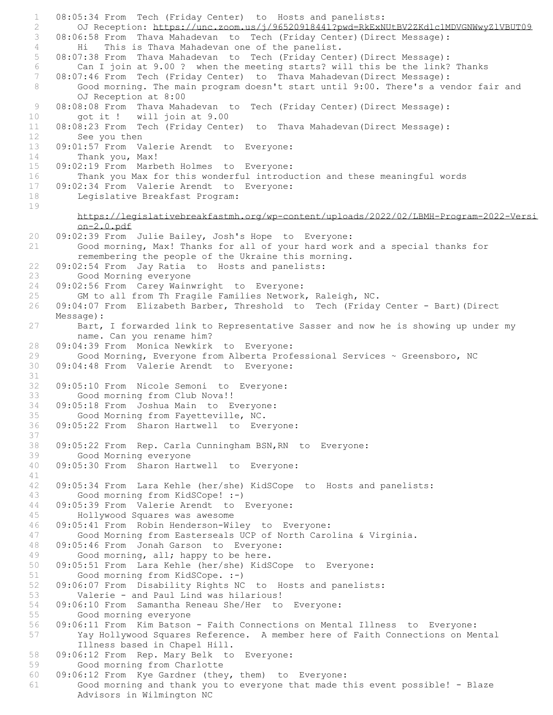1 08:05:34 From Tech (Friday Center) to Hosts and panelists: 2 OJ Reception: https://unc.zoom.us/j/96520918441?pwd=RkExNUtBV2ZKdlc1MDVGNWwyZlVBUT09 3 08:06:58 From Thava Mahadevan to Tech (Friday Center)(Direct Message): 4 Hi This is Thava Mahadevan one of the panelist. 5 08:07:38 From Thava Mahadevan to Tech (Friday Center)(Direct Message): 6 Can I join at 9.00 ? when the meeting starts? will this be the link? Thanks 7 08:07:46 From Tech (Friday Center) to Thava Mahadevan(Direct Message): 8 Good morning. The main program doesn't start until 9:00. There's a vendor fair and OJ Reception at 8:00 9 08:08:08 From Thava Mahadevan to Tech (Friday Center) (Direct Message): 10 got it ! will join at 9.00 11 08:08:23 From Tech (Friday Center) to Thava Mahadevan(Direct Message): 12 See you then 13 09:01:57 From Valerie Arendt to Everyone: 14 Thank you, Max! 15 09:02:19 From Marbeth Holmes to Everyone: 16 Thank you Max for this wonderful introduction and these meaningful words<br>17 09:02:34 From Valerie Arendt to Evervone: 09:02:34 From Valerie Arendt to Everyone: 18 Legislative Breakfast Program: 19 https://legislativebreakfastmh.org/wp-content/uploads/2022/02/LBMH-Program-2022-Versi on-2.0.pdf 20 09:02:39 From Julie Bailey, Josh's Hope to Everyone: 21 Good morning, Max! Thanks for all of your hard work and a special thanks for remembering the people of the Ukraine this morning. 22 09:02:54 From Jay Ratia to Hosts and panelists: 23 Good Morning everyone 24 09:02:56 From Carey Wainwright to Everyone: 25 GM to all from Th Fragile Families Network, Raleigh, NC. 26 09:04:07 From Elizabeth Barber, Threshold to Tech (Friday Center - Bart)(Direct Message): 27 Bart, I forwarded link to Representative Sasser and now he is showing up under my name. Can you rename him? 28 09:04:39 From Monica Newkirk to Everyone: 29 Good Morning, Everyone from Alberta Professional Services ~ Greensboro, NC<br>30 09:04:48 From Valerie Arendt to Everyone: 09:04:48 From Valerie Arendt to Everyone: 31 32 09:05:10 From Nicole Semoni to Everyone: 33 Good morning from Club Nova!! 34 09:05:18 From Joshua Main to Everyone: 35 Good Morning from Fayetteville, NC. 36 09:05:22 From Sharon Hartwell to Everyone: 37 38 09:05:22 From Rep. Carla Cunningham BSN,RN to Everyone: 39 Good Morning everyone 40 09:05:30 From Sharon Hartwell to Everyone: 41 42 09:05:34 From Lara Kehle (her/she) KidSCope to Hosts and panelists: 43 Good morning from KidSCope! :-)<br>44 09:05:39 From Valerie Arendt to 09:05:39 From Valerie Arendt to Everyone: 45 Hollywood Squares was awesome 46 09:05:41 From Robin Henderson-Wiley to Everyone: Good Morning from Easterseals UCP of North Carolina & Virginia. 48 09:05:46 From Jonah Garson to Everyone: 49 Good morning, all; happy to be here. 50 09:05:51 From Lara Kehle (her/she) KidSCope to Everyone:<br>51 Good morning from KidSCope. :-) Good morning from KidSCope. :-) 52 09:06:07 From Disability Rights NC to Hosts and panelists:<br>53 Valerie - and Paul Lind was hilarious! Valerie - and Paul Lind was hilarious! 54 09:06:10 From Samantha Reneau She/Her to Everyone:<br>55 Good morning everyone Good morning everyone 56 09:06:11 From Kim Batson - Faith Connections on Mental Illness to Everyone: Yay Hollywood Squares Reference. A member here of Faith Connections on Mental Illness based in Chapel Hill. 58 09:06:12 From Rep. Mary Belk to Everyone: 59 Good morning from Charlotte 60 09:06:12 From Kye Gardner (they, them) to Everyone: Good morning and thank you to everyone that made this event possible! - Blaze Advisors in Wilmington NC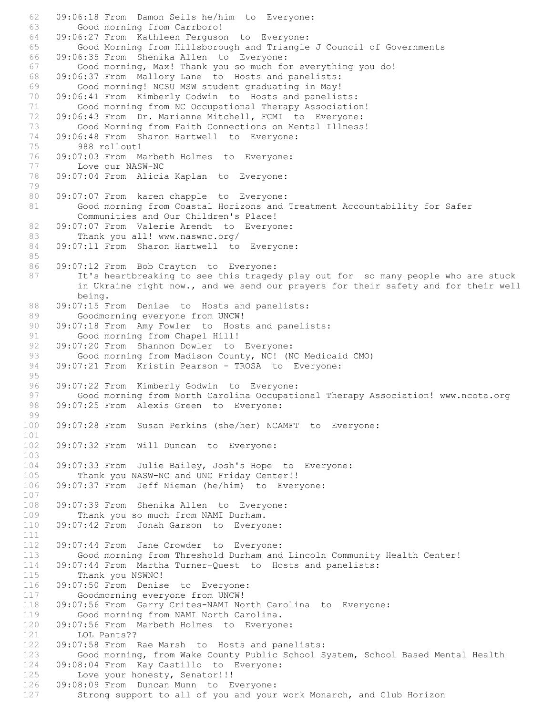62 09:06:18 From Damon Seils he/him to Everyone: 63 Good morning from Carrboro! 64 09:06:27 From Kathleen Ferguson to Everyone: 65 Good Morning from Hillsborough and Triangle J Council of Governments 66 09:06:35 From Shenika Allen to Everyone: 67 Good morning, Max! Thank you so much for everything you do! 68 09:06:37 From Mallory Lane to Hosts and panelists: 69 Good morning! NCSU MSW student graduating in May! 70 09:06:41 From Kimberly Godwin to Hosts and panelists: 71 Good morning from NC Occupational Therapy Association! 72 09:06:43 From Dr. Marianne Mitchell, FCMI to Everyone: 73 Good Morning from Faith Connections on Mental Illness! 74 09:06:48 From Sharon Hartwell to Everyone:<br>75 988 rollout1 988 rollout1 76 09:07:03 From Marbeth Holmes to Everyone: 77 Love our NASW-NC 78 09:07:04 From Alicia Kaplan to Everyone: 79 80 09:07:07 From karen chapple to Everyone: 81 Good morning from Coastal Horizons and Treatment Accountability for Safer Communities and Our Children's Place! 82 09:07:07 From Valerie Arendt to Everyone: 83 Thank you all! www.naswnc.org/ 84 09:07:11 From Sharon Hartwell to Everyone: 85 86 09:07:12 From Bob Crayton to Everyone: 87 It's heartbreaking to see this tragedy play out for so many people who are stuck in Ukraine right now., and we send our prayers for their safety and for their well being. 88 09:07:15 From Denise to Hosts and panelists: 89 Goodmorning everyone from UNCW! 90 09:07:18 From Amy Fowler to Hosts and panelists: 91 Good morning from Chapel Hill! 92 09:07:20 From Shannon Dowler to Everyone: 93 Good morning from Madison County, NC! (NC Medicaid CMO)<br>94 09:07:21 From Kristin Pearson - TROSA to Everyone: 09:07:21 From Kristin Pearson - TROSA to Everyone: 95 96 09:07:22 From Kimberly Godwin to Everyone: 97 Good morning from North Carolina Occupational Therapy Association! www.ncota.org 98 09:07:25 From Alexis Green to Everyone: 99 100 09:07:28 From Susan Perkins (she/her) NCAMFT to Everyone: 101 102 09:07:32 From Will Duncan to Everyone: 103 104 09:07:33 From Julie Bailey, Josh's Hope to Everyone:<br>105 Thank you NASW-NC and UNC Friday Center!! Thank you NASW-NC and UNC Friday Center!! 106 09:07:37 From Jeff Nieman (he/him) to Everyone: 107<br>108 09:07:39 From Shenika Allen to Everyone: 109 Thank you so much from NAMI Durham. 110 09:07:42 From Jonah Garson to Everyone: 111 112 09:07:44 From Jane Crowder to Everyone: 113 Good morning from Threshold Durham and Lincoln Community Health Center! 114 09:07:44 From Martha Turner-Quest to Hosts and panelists:<br>115 Thank you NSWNC! Thank you NSWNC! 116 09:07:50 From Denise to Everyone:<br>117 Goodmorning everyone from UNCW! Goodmorning everyone from UNCW! 118 09:07:56 From Garry Crites-NAMI North Carolina to Everyone:<br>119 600d morning from NAMI North Carolina. Good morning from NAMI North Carolina. 120 09:07:56 From Marbeth Holmes to Everyone: 121 LOL Pants?? 122 09:07:58 From Rae Marsh to Hosts and panelists: 123 Good morning, from Wake County Public School System, School Based Mental Health 124 09:08:04 From Kay Castillo to Everyone: 125 Love your honesty, Senator!!! 126 09:08:09 From Duncan Munn to Everyone: 127 Strong support to all of you and your work Monarch, and Club Horizon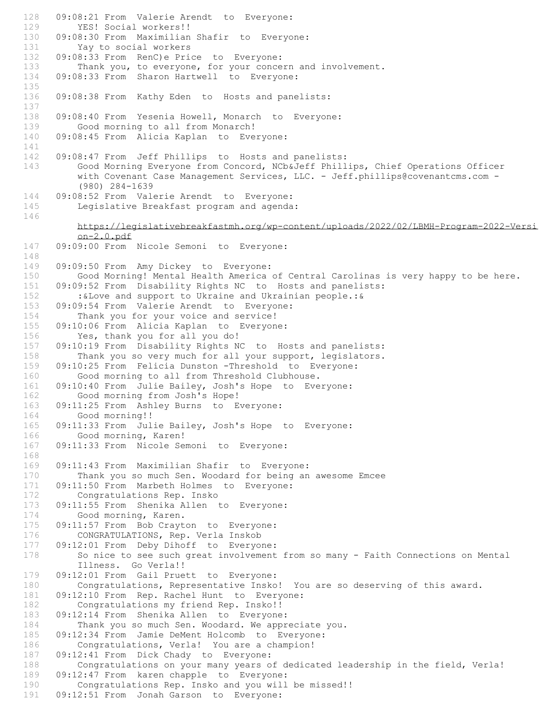128 09:08:21 From Valerie Arendt to Everyone: 129 YES! Social workers!! 130 09:08:30 From Maximilian Shafir to Everyone:<br>131 Yay to social workers Yay to social workers 132 09:08:33 From RenC)e Price to Everyone: 133 Thank you, to everyone, for your concern and involvement.<br>134 09:08:33 From Sharon Hartwell to Everyone: 09:08:33 From Sharon Hartwell to Everyone: 135 136 09:08:38 From Kathy Eden to Hosts and panelists: 137 138 09:08:40 From Yesenia Howell, Monarch to Everyone: 139 Good morning to all from Monarch! 140 09:08:45 From Alicia Kaplan to Everyone: 141 142 09:08:47 From Jeff Phillips to Hosts and panelists: 143 Good Morning Everyone from Concord, NCb&Jeff Phillips, Chief Operations Officer with Covenant Case Management Services, LLC. - Jeff.phillips@covenantcms.com -(980) 284-1639 144 09:08:52 From Valerie Arendt to Everyone: 145 Legislative Breakfast program and agenda: 146 https://legislativebreakfastmh.org/wp-content/uploads/2022/02/LBMH-Program-2022-Versi on-2.0.pdf 147 09:09:00 From Nicole Semoni to Everyone: 148<br>149 09:09:50 From Amy Dickey to Everyone: 150 Good Morning! Mental Health America of Central Carolinas is very happy to be here. 151 09:09:52 From Disability Rights NC to Hosts and panelists: 152 :&Love and support to Ukraine and Ukrainian people.:& 153 09:09:54 From Valerie Arendt to Everyone: 154 Thank you for your voice and service! 155 09:10:06 From Alicia Kaplan to Everyone: 156 Yes, thank you for all you do! 157 09:10:19 From Disability Rights NC to Hosts and panelists: 158 Thank you so very much for all your support, legislators.<br>159 09:10:25 From Felicia Dunston -Threshold to Evervone: 09:10:25 From Felicia Dunston -Threshold to Everyone: 160 Good morning to all from Threshold Clubhouse. 161 09:10:40 From Julie Bailey, Josh's Hope to Everyone: 162 Good morning from Josh's Hope! 163 09:11:25 From Ashley Burns to Everyone: 164 Good morning!! 165 09:11:33 From Julie Bailey, Josh's Hope to Everyone: 166 Good morning, Karen! 167 09:11:33 From Nicole Semoni to Everyone: 168 169 09:11:43 From Maximilian Shafir to Everyone: Thank you so much Sen. Woodard for being an awesome Emcee 171 09:11:50 From Marbeth Holmes to Everyone: 172 Congratulations Rep. Insko<br>173 09:11:55 From Shenika Allen 09:11:55 From Shenika Allen to Everyone: 174 Good morning, Karen. 175 09:11:57 From Bob Crayton to Everyone: 176 CONGRATULATIONS, Rep. Verla Inskob<br>177 09:12:01 From Deby Dihoff to Everyo 09:12:01 From Deby Dihoff to Everyone: 178 So nice to see such great involvement from so many - Faith Connections on Mental Illness. Go Verla!! 179 09:12:01 From Gail Pruett to Everyone: 180 Congratulations, Representative Insko! You are so deserving of this award. 181 09:12:10 From Rep. Rachel Hunt to Everyone: 182 Congratulations my friend Rep. Insko!!<br>183 09:12:14 From Shenika Allen to Everyone 09:12:14 From Shenika Allen to Everyone: 184 Thank you so much Sen. Woodard. We appreciate you.<br>185 09:12:34 From Jamie DeMent Holcomb to Evervone: 185 09:12:34 From Jamie DeMent Holcomb to Everyone: Congratulations, Verla! You are a champion! 187 09:12:41 From Dick Chady to Everyone: 188 Congratulations on your many years of dedicated leadership in the field, Verla! 189 09:12:47 From karen chapple to Everyone:<br>190 Congratulations Rep. Insko and you will Congratulations Rep. Insko and you will be missed!! 191 09:12:51 From Jonah Garson to Everyone: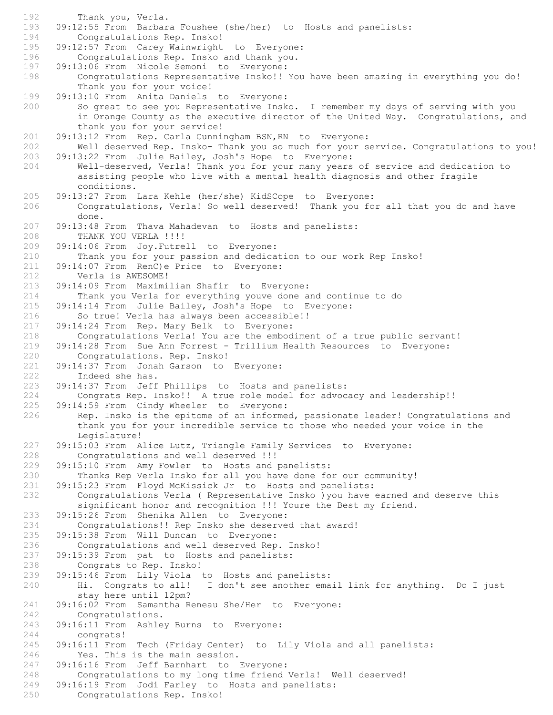192 Thank you, Verla.<br>193 09:12:55 From Barbar 09:12:55 From Barbara Foushee (she/her) to Hosts and panelists: 194 Congratulations Rep. Insko!<br>195 09:12:57 From Carev Wainwright 09:12:57 From Carey Wainwright to Everyone: 196 Congratulations Rep. Insko and thank you. 197 09:13:06 From Nicole Semoni to Everyone: 198 Congratulations Representative Insko!! You have been amazing in everything you do! Thank you for your voice! 199 09:13:10 From Anita Daniels to Everyone: 200 So great to see you Representative Insko. I remember my days of serving with you in Orange County as the executive director of the United Way. Congratulations, and thank you for your service! 201 09:13:12 From Rep. Carla Cunningham BSN, RN to Everyone:<br>202 Well deserved Rep. Insko- Thank you so much for your s Well deserved Rep. Insko- Thank you so much for your service. Congratulations to you! 203 09:13:22 From Julie Bailey, Josh's Hope to Everyone: 204 Well-deserved, Verla! Thank you for your many years of service and dedication to assisting people who live with a mental health diagnosis and other fragile conditions. 205 09:13:27 From Lara Kehle (her/she) KidSCope to Everyone: 206 Congratulations, Verla! So well deserved! Thank you for all that you do and have done. 207 09:13:48 From Thava Mahadevan to Hosts and panelists: 208 THANK YOU VERLA !!!! 209 09:14:06 From Joy.Futrell to Everyone: 210 Thank you for your passion and dedication to our work Rep Insko! 211 09:14:07 From RenC)e Price to Everyone: 212 Verla is AWESOME! 213 09:14:09 From Maximilian Shafir to Everyone: 214 Thank you Verla for everything youve done and continue to do 215 09:14:14 From Julie Bailey, Josh's Hope to Everyone: 216 So true! Verla has always been accessible!! 217 09:14:24 From Rep. Mary Belk to Everyone: 218 Congratulations Verla! You are the embodiment of a true public servant! 219 09:14:28 From Sue Ann Forrest - Trillium Health Resources to Everyone: 220 Congratulations. Rep. Insko! 221 09:14:37 From Jonah Garson to Everyone: 222 Indeed she has. 223 09:14:37 From Jeff Phillips to Hosts and panelists: 224 Congrats Rep. Insko!! A true role model for advocacy and leadership!! 225 09:14:59 From Cindy Wheeler to Everyone: 226 Rep. Insko is the epitome of an informed, passionate leader! Congratulations and thank you for your incredible service to those who needed your voice in the Legislature! 227 09:15:03 From Alice Lutz, Triangle Family Services to Everyone: 228 Congratulations and well deserved !!! 229 09:15:10 From Amy Fowler to Hosts and panelists:<br>230 Thanks Rep Verla Insko for all you have done fo Thanks Rep Verla Insko for all you have done for our community! 231 09:15:23 From Floyd McKissick Jr to Hosts and panelists: 232 Congratulations Verla ( Representative Insko )you have earned and deserve this significant honor and recognition !!! Youre the Best my friend. 233 09:15:26 From Shenika Allen to Everyone: 234 Congratulations!! Rep Insko she deserved that award! 235 09:15:38 From Will Duncan to Everyone: 236 Congratulations and well deserved Rep. Insko! 237 09:15:39 From pat to Hosts and panelists: 238 Congrats to Rep. Insko!<br>239 09:15:46 From Lily Viola 09:15:46 From Lily Viola to Hosts and panelists: 240 Hi. Congrats to all! I don't see another email link for anything. Do I just stay here until 12pm? 241 09:16:02 From Samantha Reneau She/Her to Everyone:<br>242 Congratulations. Congratulations. 243 09:16:11 From Ashley Burns to Everyone: 244 congrats!<br>245 09:16:11 From 09:16:11 From Tech (Friday Center) to Lily Viola and all panelists: 246 Yes. This is the main session. 247 09:16:16 From Jeff Barnhart to Everyone: 248 Congratulations to my long time friend Verla! Well deserved!<br>249 09:16:19 From Jodi Farley to Hosts and panelists: 09:16:19 From Jodi Farley to Hosts and panelists: 250 Congratulations Rep. Insko!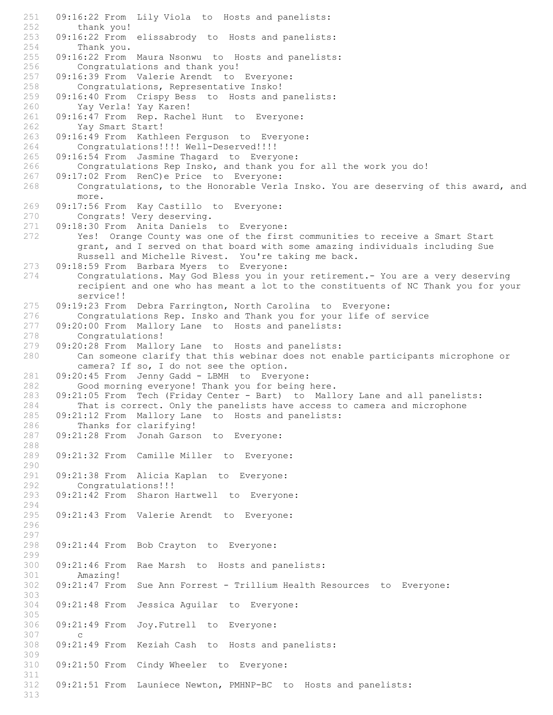251 09:16:22 From Lily Viola to Hosts and panelists: 252 thank you! 253 09:16:22 From elissabrody to Hosts and panelists: Thank you. 255 09:16:22 From Maura Nsonwu to Hosts and panelists: 256 Congratulations and thank you!<br>257 09:16:39 From Valerie Arendt to 09:16:39 From Valerie Arendt to Everyone: 258 Congratulations, Representative Insko!<br>259 09:16:40 From Crispy Bess to Hosts and 09:16:40 From Crispy Bess to Hosts and panelists: 260 Yay Verla! Yay Karen! 261 09:16:47 From Rep. Rachel Hunt to Everyone: 262 Yay Smart Start! 263 09:16:49 From Kathleen Ferguson to Everyone: Congratulations!!!! Well-Deserved!!!! 265 09:16:54 From Jasmine Thagard to Everyone: 266 Congratulations Rep Insko, and thank you for all the work you do! 267 09:17:02 From RenC)e Price to Everyone: 268 Congratulations, to the Honorable Verla Insko. You are deserving of this award, and more. 269 09:17:56 From Kay Castillo to Everyone: 270 Congrats! Very deserving. 271 09:18:30 From Anita Daniels to Everyone: 272 Yes! Orange County was one of the first communities to receive a Smart Start grant, and I served on that board with some amazing individuals including Sue Russell and Michelle Rivest. You're taking me back. 273 09:18:59 From Barbara Myers to Everyone: 274 Congratulations. May God Bless you in your retirement.- You are a very deserving recipient and one who has meant a lot to the constituents of NC Thank you for your service!! 275 09:19:23 From Debra Farrington, North Carolina to Everyone: 276 Congratulations Rep. Insko and Thank you for your life of service 277 09:20:00 From Mallory Lane to Hosts and panelists: 278 Congratulations! 279 09:20:28 From Mallory Lane to Hosts and panelists: 280 Can someone clarify that this webinar does not enable participants microphone or camera? If so, I do not see the option. 281 09:20:45 From Jenny Gadd - LBMH to Everyone: 282 Good morning everyone! Thank you for being here. 283 09:21:05 From Tech (Friday Center - Bart) to Mallory Lane and all panelists: 284 That is correct. Only the panelists have access to camera and microphone 285 09:21:12 From Mallory Lane to Hosts and panelists: 286 Thanks for clarifying!<br>287 09:21:28 From Jonah Garson 09:21:28 From Jonah Garson to Everyone: 288 289 09:21:32 From Camille Miller to Everyone: 290<br>291 09:21:38 From Alicia Kaplan to Everyone: 292 Congratulations!!! 293 09:21:42 From Sharon Hartwell to Everyone: 294 295 09:21:43 From Valerie Arendt to Everyone: 296 297<br>298 09:21:44 From Bob Crayton to Everyone: 299 300 09:21:46 From Rae Marsh to Hosts and panelists: Amazing! 302 09:21:47 From Sue Ann Forrest - Trillium Health Resources to Everyone: 303 304 09:21:48 From Jessica Aguilar to Everyone: 305 306 09:21:49 From Joy.Futrell to Everyone: 307 c<br>308 09:21 09:21:49 From Keziah Cash to Hosts and panelists: 309 310 09:21:50 From Cindy Wheeler to Everyone: 311<br>312 09:21:51 From Launiece Newton, PMHNP-BC to Hosts and panelists: 313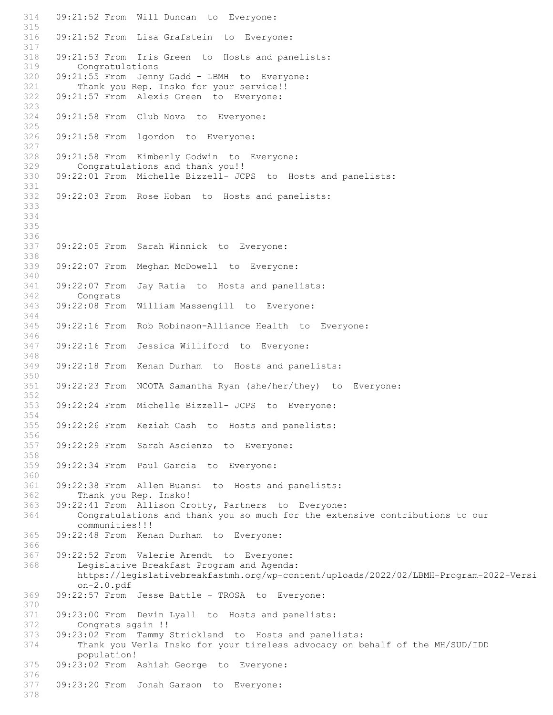314 09:21:52 From Will Duncan to Everyone: 315 316 09:21:52 From Lisa Grafstein to Everyone: 317 318 09:21:53 From Iris Green to Hosts and panelists: 319 Congratulations<br>320 09:21:55 From Jenn 09:21:55 From Jenny Gadd - LBMH to Everyone: 321 Thank you Rep. Insko for your service!! 322 09:21:57 From Alexis Green to Everyone: 323 324 09:21:58 From Club Nova to Everyone: 325 326 09:21:58 From lgordon to Everyone: 327<br>328 09:21:58 From Kimberly Godwin to Everyone: 329 Congratulations and thank you!! 330 09:22:01 From Michelle Bizzell- JCPS to Hosts and panelists: 331 332 09:22:03 From Rose Hoban to Hosts and panelists: 333 334 335 336 337 09:22:05 From Sarah Winnick to Everyone: 338 339 09:22:07 From Meghan McDowell to Everyone: 340 341 09:22:07 From Jay Ratia to Hosts and panelists: 342 Congrats 343 09:22:08 From William Massengill to Everyone: 344 345 09:22:16 From Rob Robinson-Alliance Health to Everyone: 346 347 09:22:16 From Jessica Williford to Everyone: 348<br>349 09:22:18 From Kenan Durham to Hosts and panelists: 350 351 09:22:23 From NCOTA Samantha Ryan (she/her/they) to Everyone: 352 353 09:22:24 From Michelle Bizzell- JCPS to Everyone: 354 355 09:22:26 From Keziah Cash to Hosts and panelists: 356 357 09:22:29 From Sarah Ascienzo to Everyone: 358 359 09:22:34 From Paul Garcia to Everyone: 360 361 09:22:38 From Allen Buansi to Hosts and panelists: 362 Thank you Rep. Insko!<br>363 09:22:41 From Allison Cr 09:22:41 From Allison Crotty, Partners to Everyone: 364 Congratulations and thank you so much for the extensive contributions to our communities!!! 365 09:22:48 From Kenan Durham to Everyone: 366 367 09:22:52 From Valerie Arendt to Everyone: 368 Legislative Breakfast Program and Agenda: https://legislativebreakfastmh.org/wp-content/uploads/2022/02/LBMH-Program-2022-Versi on-2.0.pdf 369 09:22:57 From Jesse Battle - TROSA to Everyone: 370 09:23:00 From Devin Lyall to Hosts and panelists: 372 Congrats again !! 373 09:23:02 From Tammy Strickland to Hosts and panelists: Thank you Verla Insko for your tireless advocacy on behalf of the MH/SUD/IDD population! 375 09:23:02 From Ashish George to Everyone: 376<br>377 09:23:20 From Jonah Garson to Everyone: 378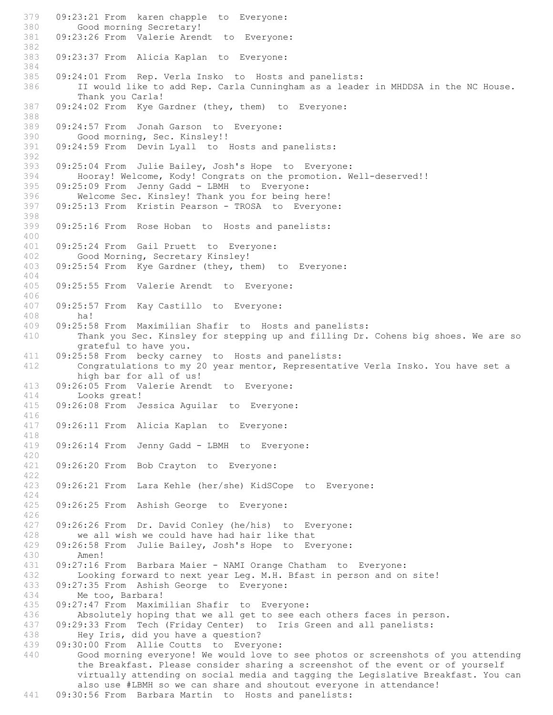379 09:23:21 From karen chapple to Everyone: 380 Good morning Secretary! 381 09:23:26 From Valerie Arendt to Everyone: 382 383 09:23:37 From Alicia Kaplan to Everyone: 384<br>385 09:24:01 From Rep. Verla Insko to Hosts and panelists: 386 II would like to add Rep. Carla Cunningham as a leader in MHDDSA in the NC House. Thank you Carla! 387 09:24:02 From Kye Gardner (they, them) to Everyone: 388 389 09:24:57 From Jonah Garson to Everyone: 390 Good morning, Sec. Kinsley!!<br>391 09:24:59 From Devin Lyall to 09:24:59 From Devin Lyall to Hosts and panelists: 392 393 09:25:04 From Julie Bailey, Josh's Hope to Everyone: 394 Hooray! Welcome, Kody! Congrats on the promotion. Well-deserved!! 09:25:09 From Jenny Gadd - LBMH to Everyone: 396 Welcome Sec. Kinsley! Thank you for being here! 397 09:25:13 From Kristin Pearson - TROSA to Everyone: 398 399 09:25:16 From Rose Hoban to Hosts and panelists: 400 401 09:25:24 From Gail Pruett to Everyone: 402 Good Morning, Secretary Kinsley! 403 09:25:54 From Kye Gardner (they, them) to Everyone: 404 405 09:25:55 From Valerie Arendt to Everyone: 406 407 09:25:57 From Kay Castillo to Everyone: 408 ha!<br>409 09:25:5 09:25:58 From Maximilian Shafir to Hosts and panelists: 410 Thank you Sec. Kinsley for stepping up and filling Dr. Cohens big shoes. We are so grateful to have you. 411 09:25:58 From becky carney to Hosts and panelists:<br>412 Congratulations to my 20 year mentor, Representat Congratulations to my 20 year mentor, Representative Verla Insko. You have set a high bar for all of us! 413 09:26:05 From Valerie Arendt to Everyone: 414 Looks great! 415 09:26:08 From Jessica Aguilar to Everyone: 416 417 09:26:11 From Alicia Kaplan to Everyone: 418 419 09:26:14 From Jenny Gadd - LBMH to Everyone: 420 421 09:26:20 From Bob Crayton to Everyone: 422 423 09:26:21 From Lara Kehle (her/she) KidSCope to Everyone: 424 09:26:25 From Ashish George to Everyone: 426 427 09:26:26 From Dr. David Conley (he/his) to Everyone:<br>428 we all wish we could have had hair like that 428 we all wish we could have had hair like that<br>429 09:26:58 From Julie Bailey, Josh's Hope to Eve 09:26:58 From Julie Bailey, Josh's Hope to Everyone: 430 Amen! 431 09:27:16 From Barbara Maier - NAMI Orange Chatham to Everyone: Looking forward to next year Leg. M.H. Bfast in person and on site! 433 09:27:35 From Ashish George to Everyone: 434 Me too, Barbara! 435 09:27:47 From Maximilian Shafir to Everyone:<br>436 Absolutely hoping that we all get to see ea Absolutely hoping that we all get to see each others faces in person. 437 09:29:33 From Tech (Friday Center) to Iris Green and all panelists:<br>438 Hev Iris, did vou have a question? 438 Hey Iris, did you have a question?<br>439 09:30:00 From Allie Coutts to Every 09:30:00 From Allie Coutts to Everyone: 440 Good morning everyone! We would love to see photos or screenshots of you attending the Breakfast. Please consider sharing a screenshot of the event or of yourself virtually attending on social media and tagging the Legislative Breakfast. You can also use #LBMH so we can share and shoutout everyone in attendance!

441 09:30:56 From Barbara Martin to Hosts and panelists: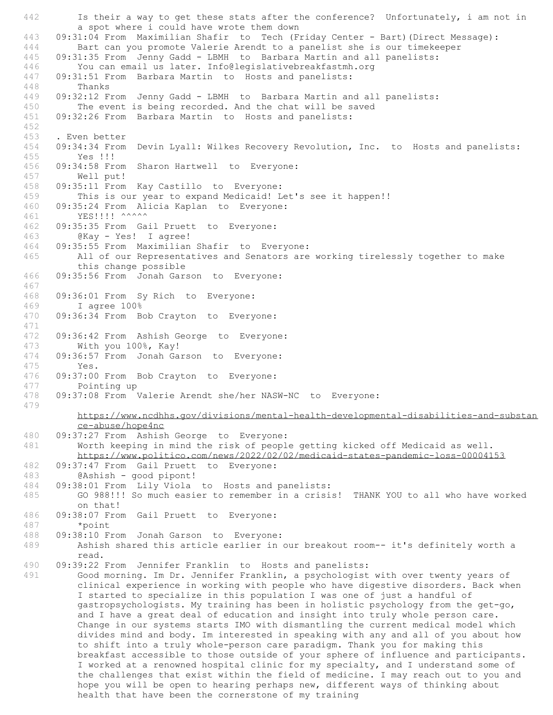442 Is their a way to get these stats after the conference? Unfortunately, i am not in a spot where i could have wrote them down 443 09:31:04 From Maximilian Shafir to Tech (Friday Center - Bart)(Direct Message): 444 Bart can you promote Valerie Arendt to a panelist she is our timekeeper 445 09:31:35 From Jenny Gadd - LBMH to Barbara Martin and all panelists: 446 You can email us later. Info@legislativebreakfastmh.org<br>447 09:31:51 From Barbara Martin to Hosts and panelists: 09:31:51 From Barbara Martin to Hosts and panelists: 448 Thanks 449 09:32:12 From Jenny Gadd - LBMH to Barbara Martin and all panelists: 450 The event is being recorded. And the chat will be saved 451 09:32:26 From Barbara Martin to Hosts and panelists: 452 453 . Even better<br>454 09:34:34 From 09:34:34 From Devin Lyall: Wilkes Recovery Revolution, Inc. to Hosts and panelists: 455 Yes !!! 456 09:34:58 From Sharon Hartwell to Everyone: 457 Well put! 458 09:35:11 From Kay Castillo to Everyone: 459 This is our year to expand Medicaid! Let's see it happen!! 460 09:35:24 From Alicia Kaplan to Everyone: 461 YES!!!! ^^^^^^ 462 09:35:35 From Gail Pruett to Everyone: 463 @Kay - Yes! I agree! 464 09:35:55 From Maximilian Shafir to Everyone: 465 All of our Representatives and Senators are working tirelessly together to make this change possible 466 09:35:56 From Jonah Garson to Everyone: 467 468 09:36:01 From Sy Rich to Everyone: 469 I agree 100% 470 09:36:34 From Bob Crayton to Everyone: 471 472 09:36:42 From Ashish George to Everyone: 473 With you 100%, Kay! 474 09:36:57 From Jonah Garson to Everyone:<br>475 Yes  $Y \ominus S$ 476 09:37:00 From Bob Crayton to Everyone: 477 Pointing up 478 09:37:08 From Valerie Arendt she/her NASW-NC to Everyone: 479 https://www.ncdhhs.gov/divisions/mental-health-developmental-disabilities-and-substan ce-abuse/hope4nc 480 09:37:27 From Ashish George to Everyone: 481 Worth keeping in mind the risk of people getting kicked off Medicaid as well. https://www.politico.com/news/2022/02/02/medicaid-states-pandemic-loss-00004153 482 09:37:47 From Gail Pruett to Everyone: @Ashish - good pipont! 484 09:38:01 From Lily Viola to Hosts and panelists: 485 GO 988!!! So much easier to remember in a crisis! THANK YOU to all who have worked on that! 486 09:38:07 From Gail Pruett to Everyone: 487 \*point 488 09:38:10 From Jonah Garson to Everyone:<br>489 – Ashish shared this article earlier in Ashish shared this article earlier in our breakout room-- it's definitely worth a read. 490 09:39:22 From Jennifer Franklin to Hosts and panelists:<br>491 Good morning. Im Dr. Jennifer Franklin, a psychologist Good morning. Im Dr. Jennifer Franklin, a psychologist with over twenty years of clinical experience in working with people who have digestive disorders. Back when I started to specialize in this population I was one of just a handful of gastropsychologists. My training has been in holistic psychology from the get-go, and I have a great deal of education and insight into truly whole person care. Change in our systems starts IMO with dismantling the current medical model which divides mind and body. Im interested in speaking with any and all of you about how to shift into a truly whole-person care paradigm. Thank you for making this breakfast accessible to those outside of your sphere of influence and participants. I worked at a renowned hospital clinic for my specialty, and I understand some of the challenges that exist within the field of medicine. I may reach out to you and hope you will be open to hearing perhaps new, different ways of thinking about health that have been the cornerstone of my training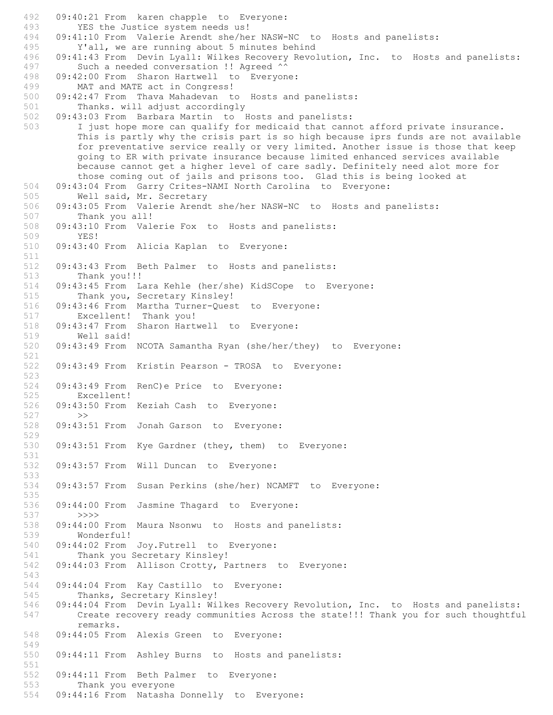492 09:40:21 From karen chapple to Everyone: 493 YES the Justice system needs us! 494 09:41:10 From Valerie Arendt she/her NASW-NC to Hosts and panelists:<br>495 Y'all, we are running about 5 minutes behind Y'all, we are running about 5 minutes behind 496 09:41:43 From Devin Lyall: Wilkes Recovery Revolution, Inc. to Hosts and panelists: 497 Such a needed conversation !! Agreed ^^<br>498 09:42:00 From Sharon Hartwell to Everyon 09:42:00 From Sharon Hartwell to Everyone: 499 MAT and MATE act in Congress!<br>500 09:42:47 From Thava Mahadevan to 09:42:47 From Thava Mahadevan to Hosts and panelists: 501 Thanks. will adjust accordingly 502 09:43:03 From Barbara Martin to Hosts and panelists: 503 I just hope more can qualify for medicaid that cannot afford private insurance. This is partly why the crisis part is so high because iprs funds are not available for preventative service really or very limited. Another issue is those that keep going to ER with private insurance because limited enhanced services available because cannot get a higher level of care sadly. Definitely need alot more for those coming out of jails and prisons too. Glad this is being looked at 504 09:43:04 From Garry Crites-NAMI North Carolina to Everyone: 505 Well said, Mr. Secretary 506 09:43:05 From Valerie Arendt she/her NASW-NC to Hosts and panelists: 507 Thank you all! 508 09:43:10 From Valerie Fox to Hosts and panelists: 509 YES! 510 09:43:40 From Alicia Kaplan to Everyone: 511 512 09:43:43 From Beth Palmer to Hosts and panelists: 513 Thank you!!! 514 09:43:45 From Lara Kehle (her/she) KidSCope to Everyone:<br>515 Thank you, Secretary Kinslev! Thank you, Secretary Kinsley! 516 09:43:46 From Martha Turner-Quest to Everyone:<br>517 Excellent! Thank you! 517 Excellent! Thank you!<br>518 09:43:47 From Sharon Hart 09:43:47 From Sharon Hartwell to Everyone: 519 Well said! 520 09:43:49 From NCOTA Samantha Ryan (she/her/they) to Everyone: 521<br>522 09:43:49 From Kristin Pearson - TROSA to Everyone: 523 524 09:43:49 From RenC)e Price to Everyone: 525 Excellent! 526 09:43:50 From Keziah Cash to Everyone: 527 >> 528 09:43:51 From Jonah Garson to Everyone: 529 530 09:43:51 From Kye Gardner (they, them) to Everyone: 531 532 09:43:57 From Will Duncan to Everyone: 533 534 09:43:57 From Susan Perkins (she/her) NCAMFT to Everyone: 535<br>536 09:44:00 From Jasmine Thagard to Everyone: 537 >>>> 538 09:44:00 From Maura Nsonwu to Hosts and panelists:<br>539 Wonderful! 539 **Wonderful!**<br>540 09:44:02 From 09:44:02 From Joy.Futrell to Everyone: 541 Thank you Secretary Kinsley! 542 09:44:03 From Allison Crotty, Partners to Everyone: 543 544 09:44:04 From Kay Castillo to Everyone: 545 Thanks, Secretary Kinsley! 546 09:44:04 From Devin Lyall: Wilkes Recovery Revolution, Inc. to Hosts and panelists:<br>547 Create recovery ready communities Across the state!!! Thank you for such thoughtfu Create recovery ready communities Across the state!!! Thank you for such thoughtful remarks. 548 09:44:05 From Alexis Green to Everyone: 549 550 09:44:11 From Ashley Burns to Hosts and panelists: 551 552 09:44:11 From Beth Palmer to Everyone:<br>553 Thank you everyone Thank you everyone 554 09:44:16 From Natasha Donnelly to Everyone: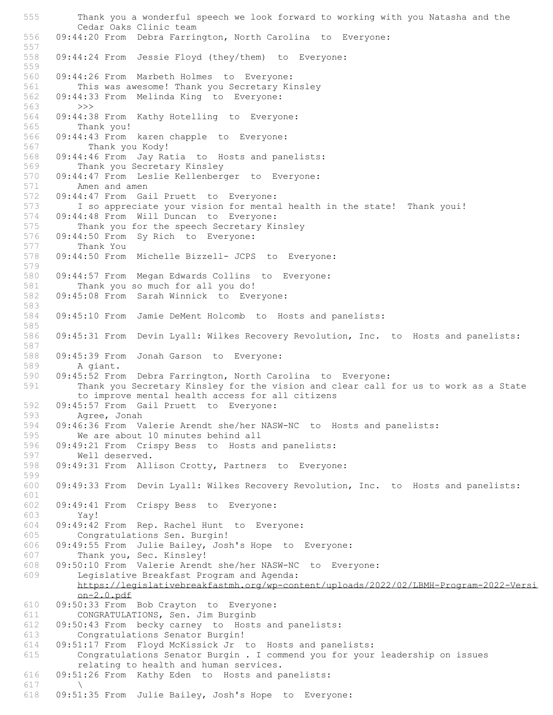555 Thank you a wonderful speech we look forward to working with you Natasha and the Cedar Oaks Clinic team 556 09:44:20 From Debra Farrington, North Carolina to Everyone: 557 558 09:44:24 From Jessie Floyd (they/them) to Everyone: 559<br>560 09:44:26 From Marbeth Holmes to Everyone: 561 This was awesome! Thank you Secretary Kinsley<br>562 09:44:33 From Melinda King to Evervone: 09:44:33 From Melinda King to Everyone: 563 >>> 564 09:44:38 From Kathy Hotelling to Everyone: 565 Thank you! 566 09:44:43 From karen chapple to Everyone:<br>567 Thank you Kody! 567 Thank you Kody!<br>568 09:44:46 From Jay Ra 09:44:46 From Jay Ratia to Hosts and panelists: 569 Thank you Secretary Kinsley 570 09:44:47 From Leslie Kellenberger to Everyone: 571 Amen and amen 572 09:44:47 From Gail Pruett to Everyone: 573 I so appreciate your vision for mental health in the state! Thank youi! 574 09:44:48 From Will Duncan to Everyone: 575 Thank you for the speech Secretary Kinsley 576 09:44:50 From Sy Rich to Everyone: 577 Thank You<br>578 09:44:50 From 09:44:50 From Michelle Bizzell- JCPS to Everyone: 579 580 09:44:57 From Megan Edwards Collins to Everyone: 581 Thank you so much for all you do! 582 09:45:08 From Sarah Winnick to Everyone: 583 584 09:45:10 From Jamie DeMent Holcomb to Hosts and panelists: 585 586 09:45:31 From Devin Lyall: Wilkes Recovery Revolution, Inc. to Hosts and panelists: 587 588 09:45:39 From Jonah Garson to Everyone:<br>589 A giant. A giant. 590 09:45:52 From Debra Farrington, North Carolina to Everyone: 591 Thank you Secretary Kinsley for the vision and clear call for us to work as a State to improve mental health access for all citizens 592 09:45:57 From Gail Pruett to Everyone: 593 Agree, Jonah 594 09:46:36 From Valerie Arendt she/her NASW-NC to Hosts and panelists:<br>595 We are about 10 minutes behind all We are about 10 minutes behind all 596 09:49:21 From Crispy Bess to Hosts and panelists: 597 Well deserved. 598 09:49:31 From Allison Crotty, Partners to Everyone: 599 600 09:49:33 From Devin Lyall: Wilkes Recovery Revolution, Inc. to Hosts and panelists: 601<br>602 09:49:41 From Crispy Bess to Everyone: 603 Yay! 604 09:49:42 From Rep. Rachel Hunt to Everyone: 605 Congratulations Sen. Burgin!<br>606 09:49:55 From Julie Bailey, Jos 09:49:55 From Julie Bailey, Josh's Hope to Everyone: 607 Thank you, Sec. Kinsley! 608 09:50:10 From Valerie Arendt she/her NASW-NC to Everyone:<br>609 Legislative Breakfast Program and Agenda: Legislative Breakfast Program and Agenda: https://legislativebreakfastmh.org/wp-content/uploads/2022/02/LBMH-Program-2022-Versi on-2.0.pdf 610 09:50:33 From Bob Crayton to Everyone: CONGRATULATIONS, Sen. Jim Burginb 612 09:50:43 From becky carney to Hosts and panelists: 613 Congratulations Senator Burgin!<br>614 09:51:17 From Floyd McKissick Jr 614 09:51:17 From Floyd McKissick Jr to Hosts and panelists: Congratulations Senator Burgin . I commend you for your leadership on issues relating to health and human services. 616 09:51:26 From Kathy Eden to Hosts and panelists: 617 \ 618 09:51:35 From Julie Bailey, Josh's Hope to Everyone: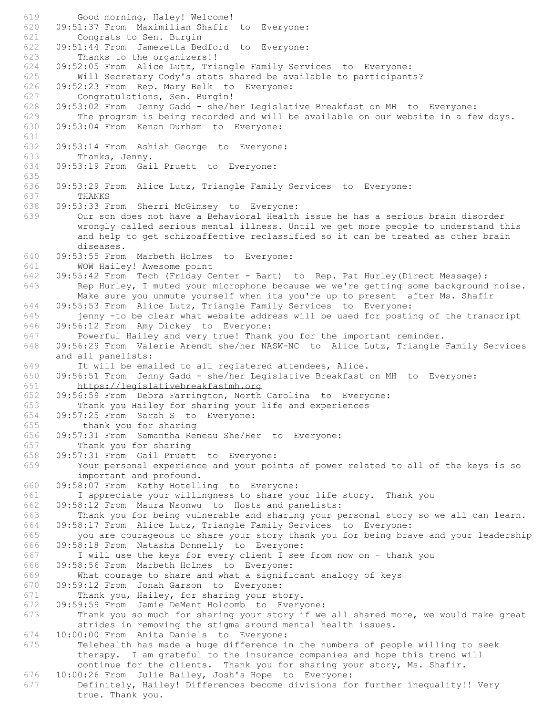619 Good morning, Haley! Welcome! 620 09:51:37 From Maximilian Shafir to Everyone: 621 Congrats to Sen. Burgin 622 09:51:44 From Jamezetta Bedford to Everyone: 623 Thanks to the organizers!! 624 09:52:05 From Alice Lutz, Triangle Family Services to Everyone: Will Secretary Cody's stats shared be available to participants? 626 09:52:23 From Rep. Mary Belk to Everyone: 627 Congratulations, Sen. Burgin! 628 09:53:02 From Jenny Gadd - she/her Legislative Breakfast on MH to Everyone: 629 The program is being recorded and will be available on our website in a few days. 630 09:53:04 From Kenan Durham to Everyone: 631<br>632 09:53:14 From Ashish George to Everyone: 633 Thanks, Jenny. 634 09:53:19 From Gail Pruett to Everyone: 635 636 09:53:29 From Alice Lutz, Triangle Family Services to Everyone: 637 THANKS 638 09:53:33 From Sherri McGimsey to Everyone: 639 Our son does not have a Behavioral Health issue he has a serious brain disorder wrongly called serious mental illness. Until we get more people to understand this and help to get schizoaffective reclassified so it can be treated as other brain diseases. 640 09:53:55 From Marbeth Holmes to Everyone: 641 WOW Hailey! Awesome point 642 09:55:42 From Tech (Friday Center - Bart) to Rep. Pat Hurley(Direct Message): 643 Rep Hurley, I muted your microphone because we we're getting some background noise. Make sure you unmute yourself when its you're up to present after Ms. Shafir 644 09:55:53 From Alice Lutz, Triangle Family Services to Everyone: 645 jenny -to be clear what website address will be used for posting of the transcript 646 09:56:12 From Amy Dickey to Everyone: 647 Powerful Hailey and very true! Thank you for the important reminder. 648 09:56:29 From Valerie Arendt she/her NASW-NC to Alice Lutz, Triangle Family Services and all panelists: 649 It will be emailed to all registered attendees, Alice. 650 09:56:51 From Jenny Gadd - she/her Legislative Breakfast on MH to Everyone: 651 https://legislativebreakfastmh.org 652 09:56:59 From Debra Farrington, North Carolina to Everyone: 653 Thank you Hailey for sharing your life and experiences 654 09:57:25 From Sarah S to Everyone: 655 thank you for sharing 656 09:57:31 From Samantha Reneau She/Her to Everyone: 657 Thank you for sharing 658 09:57:31 From Gail Pruett to Everyone: 659 Your personal experience and your points of power related to all of the keys is so important and profound. 660 09:58:07 From Kathy Hotelling to Everyone: 661 I appreciate your willingness to share your life story. Thank you<br>662 09:58:12 From Maura Nsonwu to Hosts and panelists: 09:58:12 From Maura Nsonwu to Hosts and panelists: 663 Thank you for being vulnerable and sharing your personal story so we all can learn. 664 09:58:17 From Alice Lutz, Triangle Family Services to Everyone: 665 you are courageous to share your story thank you for being brave and your leadership 666 09:58:18 From Natasha Donnelly to Everyone: 667 I will use the keys for every client I see from now on - thank you 668 09:58:56 From Marbeth Holmes to Everyone: What courage to share and what a significant analogy of keys 670 09:59:12 From Jonah Garson to Everyone: 671 Thank you, Hailey, for sharing your story. 672 09:59:59 From Jamie DeMent Holcomb to Everyone: 673 Thank you so much for sharing your story if we all shared more, we would make great strides in removing the stigma around mental health issues. 674 10:00:00 From Anita Daniels to Everyone: Telehealth has made a huge difference in the numbers of people willing to seek therapy. I am grateful to the insurance companies and hope this trend will continue for the clients. Thank you for sharing your story, Ms. Shafir. 676 10:00:26 From Julie Bailey, Josh's Hope to Everyone: Definitely, Hailey! Differences become divisions for further inequality!! Very true. Thank you.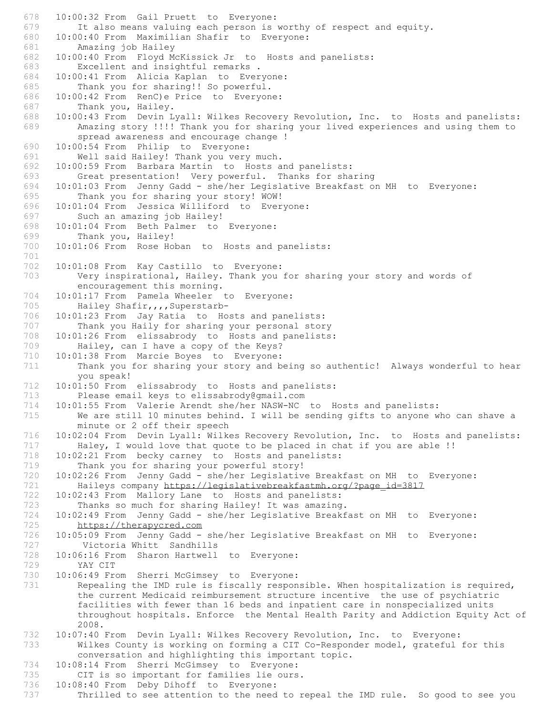678 10:00:32 From Gail Pruett to Everyone: 679 It also means valuing each person is worthy of respect and equity. 680 10:00:40 From Maximilian Shafir to Everyone: 681 Amazing job Hailey 682 10:00:40 From Floyd McKissick Jr to Hosts and panelists: 683 Excellent and insightful remarks.<br>684 10:00:41 From Alicia Kaplan to Ever 10:00:41 From Alicia Kaplan to Everyone: 685 Thank you for sharing!! So powerful. 686 10:00:42 From RenC)e Price to Everyone: 687 Thank you, Hailey. 688 10:00:43 From Devin Lyall: Wilkes Recovery Revolution, Inc. to Hosts and panelists: 689 Amazing story !!!! Thank you for sharing your lived experiences and using them to spread awareness and encourage change ! 690 10:00:54 From Philip to Everyone: 691 Well said Hailey! Thank you very much. 692 10:00:59 From Barbara Martin to Hosts and panelists: 693 Great presentation! Very powerful. Thanks for sharing 694 10:01:03 From Jenny Gadd - she/her Legislative Breakfast on MH to Everyone: 695 Thank you for sharing your story! WOW! 696 10:01:04 From Jessica Williford to Everyone: 697 Such an amazing job Hailey! 698 10:01:04 From Beth Palmer to Everyone: 699 Thank you, Hailey! 700 10:01:06 From Rose Hoban to Hosts and panelists: 701 702 10:01:08 From Kay Castillo to Everyone: 703 Very inspirational, Hailey. Thank you for sharing your story and words of encouragement this morning. 704 10:01:17 From Pamela Wheeler to Everyone: 705 Hailey Shafir, , , Superstarb-706 10:01:23 From Jay Ratia to Hosts and panelists: 707 Thank you Haily for sharing your personal story 708 10:01:26 From elissabrody to Hosts and panelists: 709 Hailey, can I have a copy of the Keys? 710 10:01:38 From Marcie Boyes to Everyone:<br>711 Thank you for sharing your story and b Thank you for sharing your story and being so authentic! Always wonderful to hear you speak! 712 10:01:50 From elissabrody to Hosts and panelists: 713 Please email keys to elissabrody@gmail.com 714 10:01:55 From Valerie Arendt she/her NASW-NC to Hosts and panelists: 715 We are still 10 minutes behind. I will be sending gifts to anyone who can shave a minute or 2 off their speech 716 10:02:04 From Devin Lyall: Wilkes Recovery Revolution, Inc. to Hosts and panelists: 717 Haley, I would love that quote to be placed in chat if you are able !! 718 10:02:21 From becky carney to Hosts and panelists: 719 Thank you for sharing your powerful story!<br>720 10:02:26 From Jenny Gadd - she/her Legislativ 720 10:02:26 From Jenny Gadd - she/her Legislative Breakfast on MH to Everyone: 721 Haileys company https://legislativebreakfastmh.org/?page\_id=3817 722 10:02:43 From Mallory Lane to Hosts and panelists:<br>723 Thanks so much for sharing Hailey! It was amazing Thanks so much for sharing Hailey! It was amazing. 724 10:02:49 From Jenny Gadd - she/her Legislative Breakfast on MH to Everyone: 725 https://therapycred.com<br>726 10:05:09 From Jenny Gadd -726 10:05:09 From Jenny Gadd - she/her Legislative Breakfast on MH to Everyone: Victoria Whitt Sandhills 728 10:06:16 From Sharon Hartwell to Everyone: 729 YAY CIT<br>730 10:06:49 Fre 730 10:06:49 From Sherri McGimsey to Everyone:<br>731 Repealing the IMD rule is fiscally respon Repealing the IMD rule is fiscally responsible. When hospitalization is required, the current Medicaid reimbursement structure incentive the use of psychiatric facilities with fewer than 16 beds and inpatient care in nonspecialized units throughout hospitals. Enforce the Mental Health Parity and Addiction Equity Act of 2008. 732 10:07:40 From Devin Lyall: Wilkes Recovery Revolution, Inc. to Everyone: Wilkes County is working on forming a CIT Co-Responder model, grateful for this conversation and highlighting this important topic. 734 10:08:14 From Sherri McGimsey to Everyone: 735 CIT is so important for families lie ours.<br>736 10:08:40 From Deby Dihoff to Everyone: 10:08:40 From Deby Dihoff to Everyone: 737 Thrilled to see attention to the need to repeal the IMD rule. So good to see you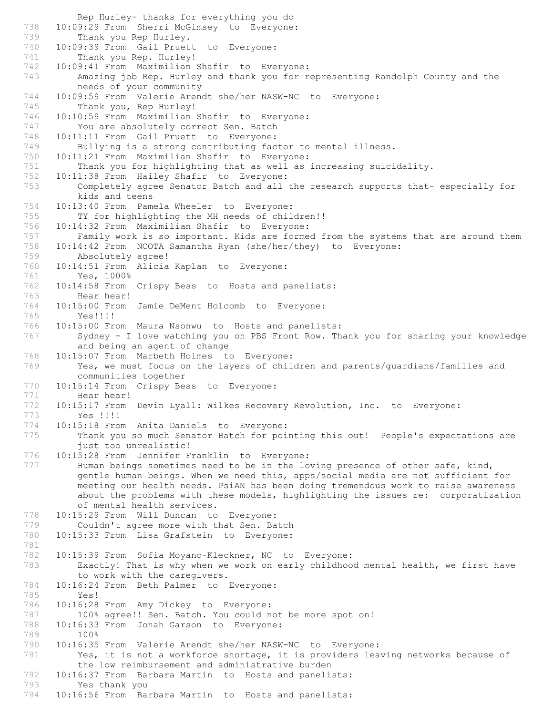Rep Hurley- thanks for everything you do 738 10:09:29 From Sherri McGimsey to Everyone:<br>739 Thank you Rep Hurley. 739 Thank you Rep Hurley.<br>740 10:09:39 From Gail Pruet 10:09:39 From Gail Pruett to Everyone: 741 Thank you Rep. Hurley! 742 10:09:41 From Maximilian Shafir to Everyone: 743 Amazing job Rep. Hurley and thank you for representing Randolph County and the needs of your community 744 10:09:59 From Valerie Arendt she/her NASW-NC to Everyone: 745 Thank you, Rep Hurley! 746 10:10:59 From Maximilian Shafir to Everyone: 747 You are absolutely correct Sen. Batch 748 10:11:11 From Gail Pruett to Everyone:<br>749 Bullying is a strong contributing fac 749 Bullying is a strong contributing factor to mental illness.<br>750 10:11:21 From Maximilian Shafir to Everyone: 10:11:21 From Maximilian Shafir to Everyone: 751 Thank you for highlighting that as well as increasing suicidality. 752 10:11:38 From Hailey Shafir to Everyone: 753 Completely agree Senator Batch and all the research supports that- especially for kids and teens 754 10:13:40 From Pamela Wheeler to Everyone: 755 TY for highlighting the MH needs of children!! 756 10:14:32 From Maximilian Shafir to Everyone: 757 Family work is so important. Kids are formed from the systems that are around them 758 10:14:42 From NCOTA Samantha Ryan (she/her/they) to Everyone: 759 Absolutely agree!<br>760 10:14:51 From Alicia 10:14:51 From Alicia Kaplan to Everyone: 761 Yes, 1000% 762 10:14:58 From Crispy Bess to Hosts and panelists: 763 Hear hear! 764 10:15:00 From Jamie DeMent Holcomb to Everyone: 765 Yes!!!! 766 10:15:00 From Maura Nsonwu to Hosts and panelists: 767 Sydney - I love watching you on PBS Front Row. Thank you for sharing your knowledge and being an agent of change 768 10:15:07 From Marbeth Holmes to Everyone:<br>769 Yes. we must focus on the lavers of chil Yes, we must focus on the layers of children and parents/quardians/families and communities together 770 10:15:14 From Crispy Bess to Everyone: 771 Hear hear! 772 10:15:17 From Devin Lyall: Wilkes Recovery Revolution, Inc. to Everyone: 773 Yes !!!! 774 10:15:18 From Anita Daniels to Everyone: 775 Thank you so much Senator Batch for pointing this out! People's expectations are just too unrealistic! 776 10:15:28 From Jennifer Franklin to Everyone: 777 Human beings sometimes need to be in the loving presence of other safe, kind, gentle human beings. When we need this, apps/social media are not sufficient for meeting our health needs. PsiAN has been doing tremendous work to raise awareness about the problems with these models, highlighting the issues re: corporatization of mental health services. 778 10:15:29 From Will Duncan to Everyone: 779 Couldn't agree more with that Sen. Batch 780 10:15:33 From Lisa Grafstein to Everyone: 781 782 10:15:39 From Sofia Moyano-Kleckner, NC to Everyone: 783 Exactly! That is why when we work on early childhood mental health, we first have to work with the caregivers. 784 10:16:24 From Beth Palmer to Everyone: Yes! 786 10:16:28 From Amy Dickey to Everyone: 100% agree!! Sen. Batch. You could not be more spot on! 788 10:16:33 From Jonah Garson to Everyone: 789 100%<br>790 10:16:35 790 10:16:35 From Valerie Arendt she/her NASW-NC to Everyone: 791 Yes, it is not a workforce shortage, it is providers leaving networks because of the low reimbursement and administrative burden 792 10:16:37 From Barbara Martin to Hosts and panelists: 793 Yes thank you<br>794 10:16:56 From Ba 10:16:56 From Barbara Martin to Hosts and panelists: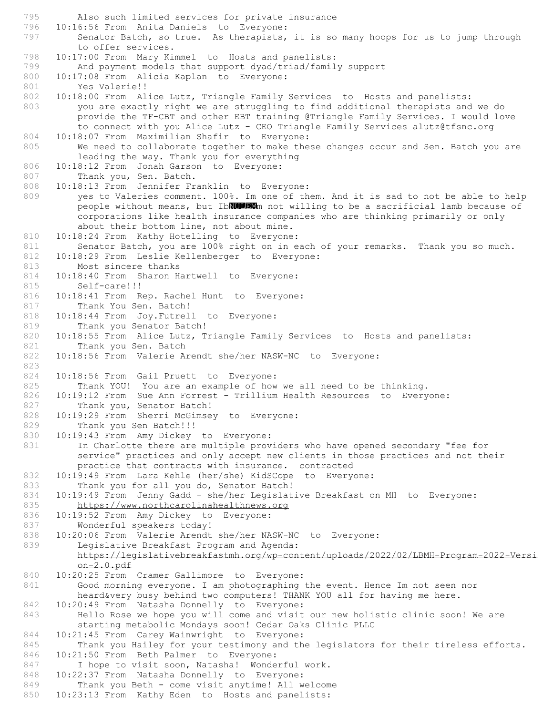795 Also such limited services for private insurance 796 10:16:56 From Anita Daniels to Everyone:<br>797 Senator Batch, so true. As therapists, Senator Batch, so true. As therapists, it is so many hoops for us to jump through to offer services. 798 10:17:00 From Mary Kimmel to Hosts and panelists: 799 And payment models that support dyad/triad/family support<br>800 10:17:08 From Alicia Kaplan to Everyone: 10:17:08 From Alicia Kaplan to Everyone: 801 Yes Valerie!! 802 10:18:00 From Alice Lutz, Triangle Family Services to Hosts and panelists: 803 you are exactly right we are struggling to find additional therapists and we do provide the TF-CBT and other EBT training @Triangle Family Services. I would love to connect with you Alice Lutz - CEO Triangle Family Services alutz@tfsnc.org 804 10:18:07 From Maximilian Shafir to Everyone:<br>805 We need to collaborate together to make the We need to collaborate together to make these changes occur and Sen. Batch you are leading the way. Thank you for everything 806 10:18:12 From Jonah Garson to Everyone: 807 Thank you, Sen. Batch. 808 10:18:13 From Jennifer Franklin to Everyone: 809 yes to Valeries comment. 100%. Im one of them. And it is sad to not be able to help people without means, but IbNULEMM not willing to be a sacrificial lamb because of corporations like health insurance companies who are thinking primarily or only about their bottom line, not about mine. 810 10:18:24 From Kathy Hotelling to Everyone: 811 Senator Batch, you are 100% right on in each of your remarks. Thank you so much.<br>812 10:18:29 From Leslie Kellenberger to Everyone: 10:18:29 From Leslie Kellenberger to Everyone: 813 Most sincere thanks 814 10:18:40 From Sharon Hartwell to Everyone: 815 Self-care!!! 816 10:18:41 From Rep. Rachel Hunt to Everyone: 817 Thank You Sen. Batch! 818 10:18:44 From Joy.Futrell to Everyone:<br>819 Thank you Senator Batch! Thank you Senator Batch! 820 10:18:55 From Alice Lutz, Triangle Family Services to Hosts and panelists: 821 Thank you Sen. Batch 822 10:18:56 From Valerie Arendt she/her NASW-NC to Everyone: 823 824 10:18:56 From Gail Pruett to Everyone: 825 Thank YOU! You are an example of how we all need to be thinking. 826 10:19:12 From Sue Ann Forrest - Trillium Health Resources to Everyone: 827 Thank you, Senator Batch! 828 10:19:29 From Sherri McGimsey to Everyone: 829 Thank you Sen Batch!!! 830 10:19:43 From Amy Dickey to Everyone: 831 In Charlotte there are multiple providers who have opened secondary "fee for service" practices and only accept new clients in those practices and not their practice that contracts with insurance. contracted 832 10:19:49 From Lara Kehle (her/she) KidSCope to Everyone: 833 Thank you for all you do, Senator Batch! 834 10:19:49 From Jenny Gadd - she/her Legislative Breakfast on MH to Everyone:<br>835 https://www.northcarolinahealthnews.org https://www.northcarolinahealthnews.org 836 10:19:52 From Amy Dickey to Everyone: 837 Wonderful speakers today! 838 10:20:06 From Valerie Arendt she/her NASW-NC to Everyone:<br>839 Legislative Breakfast Program and Agenda: Legislative Breakfast Program and Agenda: https://legislativebreakfastmh.org/wp-content/uploads/2022/02/LBMH-Program-2022-Versi on-2.0.pdf 840 10:20:25 From Cramer Gallimore to Everyone: 841 Good morning everyone. I am photographing the event. Hence Im not seen nor heard&very busy behind two computers! THANK YOU all for having me here. 842 10:20:49 From Natasha Donnelly to Everyone:<br>843 Hello Rose we hope you will come and visit Hello Rose we hope you will come and visit our new holistic clinic soon! We are starting metabolic Mondays soon! Cedar Oaks Clinic PLLC 844 10:21:45 From Carey Wainwright to Everyone:<br>845 Thank you Hailey for your testimony and th Thank you Hailey for your testimony and the legislators for their tireless efforts. 846 10:21:50 From Beth Palmer to Everyone: 847 I hope to visit soon, Natasha! Wonderful work. 848 10:22:37 From Natasha Donnelly to Everyone:<br>849 Thank you Beth - come visit anytime! All w Thank you Beth - come visit anytime! All welcome 850 10:23:13 From Kathy Eden to Hosts and panelists: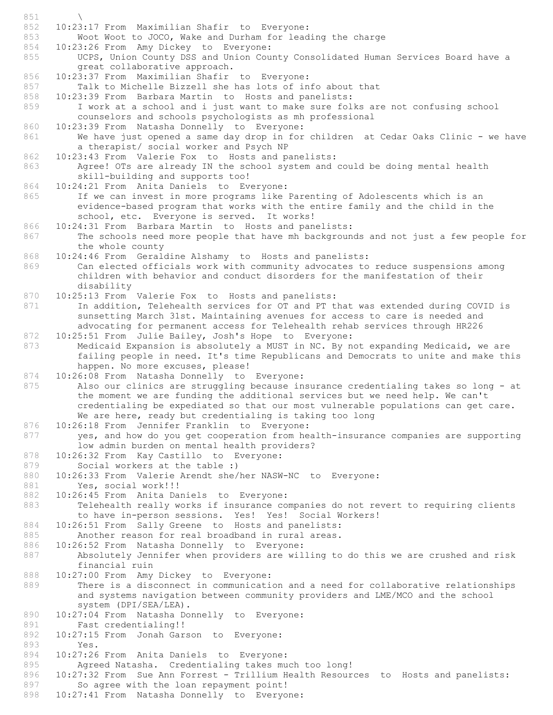851 \ 852 10:23:17 From Maximilian Shafir to Everyone: 853 Woot Woot to JOCO, Wake and Durham for leading the charge<br>854 10:23:26 From Amy Dickey to Everyone: 10:23:26 From Amy Dickey to Everyone: 855 UCPS, Union County DSS and Union County Consolidated Human Services Board have a great collaborative approach. 856 10:23:37 From Maximilian Shafir to Everyone: 857 Talk to Michelle Bizzell she has lots of info about that 858 10:23:39 From Barbara Martin to Hosts and panelists: 859 I work at a school and i just want to make sure folks are not confusing school counselors and schools psychologists as mh professional 860 10:23:39 From Natasha Donnelly to Everyone: 861 We have just opened a same day drop in for children at Cedar Oaks Clinic - we have a therapist/ social worker and Psych NP 862 10:23:43 From Valerie Fox to Hosts and panelists: 863 Agree! OTs are already IN the school system and could be doing mental health skill-building and supports too! 864 10:24:21 From Anita Daniels to Everyone: 865 If we can invest in more programs like Parenting of Adolescents which is an evidence-based program that works with the entire family and the child in the school, etc. Everyone is served. It works! 866 10:24:31 From Barbara Martin to Hosts and panelists: 867 The schools need more people that have mh backgrounds and not just a few people for the whole county 868 10:24:46 From Geraldine Alshamy to Hosts and panelists: 869 Can elected officials work with community advocates to reduce suspensions among children with behavior and conduct disorders for the manifestation of their disability 870 10:25:13 From Valerie Fox to Hosts and panelists: 871 In addition, Telehealth services for OT and PT that was extended during COVID is sunsetting March 31st. Maintaining avenues for access to care is needed and advocating for permanent access for Telehealth rehab services through HR226 872 10:25:51 From Julie Bailey, Josh's Hope to Everyone: 873 Medicaid Expansion is absolutely a MUST in NC. By not expanding Medicaid, we are failing people in need. It's time Republicans and Democrats to unite and make this happen. No more excuses, please! 874 10:26:08 From Natasha Donnelly to Everyone: 875 Also our clinics are struggling because insurance credentialing takes so long - at the moment we are funding the additional services but we need help. We can't credentialing be expediated so that our most vulnerable populations can get care. We are here, ready but credentialing is taking too long 876 10:26:18 From Jennifer Franklin to Everyone: 877 yes, and how do you get cooperation from health-insurance companies are supporting low admin burden on mental health providers? 878 10:26:32 From Kay Castillo to Everyone: 879 Social workers at the table :)<br>880 10:26:33 From Valerie Arendt she/ 880 10:26:33 From Valerie Arendt she/her NASW-NC to Everyone: 881 Yes, social work!!! 882 10:26:45 From Anita Daniels to Everyone:<br>883 Telehealth really works if insurance com Telehealth really works if insurance companies do not revert to requiring clients to have in-person sessions. Yes! Yes! Social Workers! 884 10:26:51 From Sally Greene to Hosts and panelists:<br>885 – Another reason for real broadband in rural areas. 885 Another reason for real broadband in rural areas.<br>886 10:26:52 From Natasha Donnelly to Everyone: 10:26:52 From Natasha Donnelly to Everyone: 887 Absolutely Jennifer when providers are willing to do this we are crushed and risk financial ruin 888 10:27:00 From Amy Dickey to Everyone: 889 There is a disconnect in communication and a need for collaborative relationships and systems navigation between community providers and LME/MCO and the school system (DPI/SEA/LEA). 890 10:27:04 From Natasha Donnelly to Everyone: 891 Fast credentialing!!<br>892 10:27:15 From Jonah Gar 892 10:27:15 From Jonah Garson to Everyone:<br>893 Yes. Yes. 894 10:27:26 From Anita Daniels to Everyone: 895 Agreed Natasha. Credentialing takes much too long! 896 10:27:32 From Sue Ann Forrest - Trillium Health Resources to Hosts and panelists:<br>897 So agree with the loan repayment point! So agree with the loan repayment point! 898 10:27:41 From Natasha Donnelly to Everyone: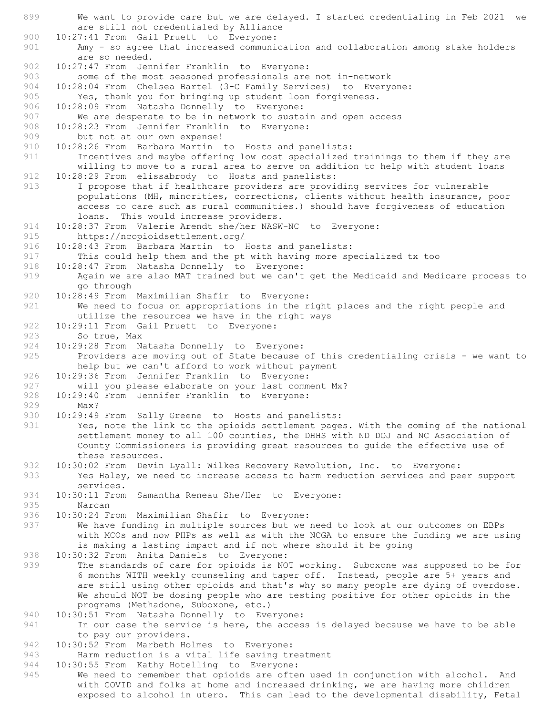899 We want to provide care but we are delayed. I started credentialing in Feb 2021 we are still not credentialed by Alliance 900 10:27:41 From Gail Pruett to Everyone: 901 Amy - so agree that increased communication and collaboration among stake holders are so needed. 902 10:27:47 From Jennifer Franklin to Everyone:<br>903 some of the most seasoned professionals are some of the most seasoned professionals are not in-network 904 10:28:04 From Chelsea Bartel (3-C Family Services) to Everyone: 905 Yes, thank you for bringing up student loan forgiveness. 906 10:28:09 From Natasha Donnelly to Everyone: 907 We are desperate to be in network to sustain and open access 908 10:28:23 From Jennifer Franklin to Everyone: 909 but not at our own expense!<br>910 10:28:26 From Barbara Martin 910 10:28:26 From Barbara Martin to Hosts and panelists: 911 Incentives and maybe offering low cost specialized trainings to them if they are willing to move to a rural area to serve on addition to help with student loans 912 10:28:29 From elissabrody to Hosts and panelists: 913 I propose that if healthcare providers are providing services for vulnerable populations (MH, minorities, corrections, clients without health insurance, poor access to care such as rural communities.) should have forgiveness of education loans. This would increase providers. 914 10:28:37 From Valerie Arendt she/her NASW-NC to Everyone: 915 https://ncopioidsettlement.org/ 916 10:28:43 From Barbara Martin to Hosts and panelists:<br>917 This could help them and the pt with having more sp This could help them and the pt with having more specialized tx too 918 10:28:47 From Natasha Donnelly to Everyone: 919 Again we are also MAT trained but we can't get the Medicaid and Medicare process to go through 920 10:28:49 From Maximilian Shafir to Everyone: 921 We need to focus on appropriations in the right places and the right people and utilize the resources we have in the right ways 922 10:29:11 From Gail Pruett to Everyone: 923 Sotrue, Max 924 10:29:28 From Natasha Donnelly to Everyone: 925 Providers are moving out of State because of this credentialing crisis - we want to help but we can't afford to work without payment 926 10:29:36 From Jennifer Franklin to Everyone: 927 will you please elaborate on your last comment Mx? 928 10:29:40 From Jennifer Franklin to Everyone: 929 Max?<br>930 10:29:49 10:29:49 From Sally Greene to Hosts and panelists: 931 Yes, note the link to the opioids settlement pages. With the coming of the national settlement money to all 100 counties, the DHHS with ND DOJ and NC Association of County Commissioners is providing great resources to guide the effective use of these resources. 932 10:30:02 From Devin Lyall: Wilkes Recovery Revolution, Inc. to Everyone:<br>933 Yes Halev, we need to increase access to harm reduction services and pe Yes Haley, we need to increase access to harm reduction services and peer support services. 934 10:30:11 From Samantha Reneau She/Her to Everyone:<br>935 Narcan Narcan 936 10:30:24 From Maximilian Shafir to Everyone: 937 We have funding in multiple sources but we need to look at our outcomes on EBPs with MCOs and now PHPs as well as with the NCGA to ensure the funding we are using is making a lasting impact and if not where should it be going 938 10:30:32 From Anita Daniels to Everyone: 939 The standards of care for opioids is NOT working. Suboxone was supposed to be for 6 months WITH weekly counseling and taper off. Instead, people are 5+ years and are still using other opioids and that's why so many people are dying of overdose. We should NOT be dosing people who are testing positive for other opioids in the programs (Methadone, Suboxone, etc.) 940 10:30:51 From Natasha Donnelly to Everyone: 941 In our case the service is here, the access is delayed because we have to be able to pay our providers. 942 10:30:52 From Marbeth Holmes to Everyone: 943 Harm reduction is a vital life saving treatment 944 10:30:55 From Kathy Hotelling to Everyone: 945 We need to remember that opioids are often used in conjunction with alcohol. And with COVID and folks at home and increased drinking, we are having more children

exposed to alcohol in utero. This can lead to the developmental disability, Fetal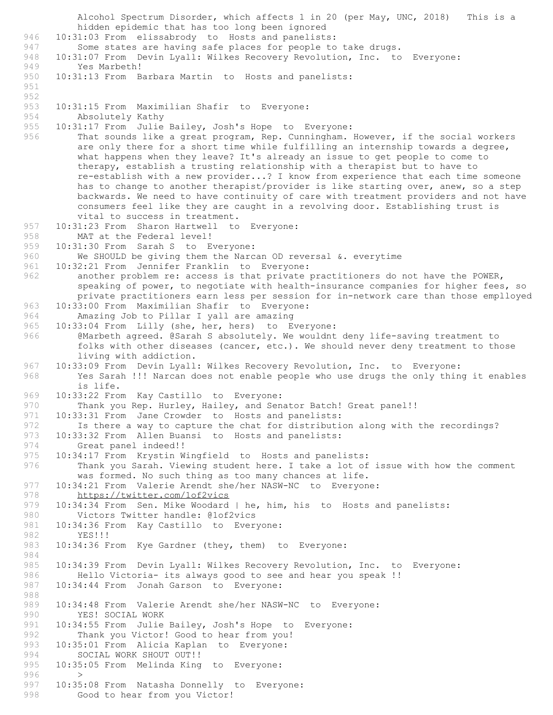Alcohol Spectrum Disorder, which affects 1 in 20 (per May, UNC, 2018) This is a hidden epidemic that has too long been ignored 946 10:31:03 From elissabrody to Hosts and panelists:<br>947 Some states are having safe places for people to Some states are having safe places for people to take drugs. 948 10:31:07 From Devin Lyall: Wilkes Recovery Revolution, Inc. to Everyone: 949 Yes Marbeth!<br>950 10:31:13 From B 10:31:13 From Barbara Martin to Hosts and panelists: 951 952 953 10:31:15 From Maximilian Shafir to Everyone: 954 Absolutely Kathy 955 10:31:17 From Julie Bailey, Josh's Hope to Everyone: 956 That sounds like a great program, Rep. Cunningham. However, if the social workers are only there for a short time while fulfilling an internship towards a degree, what happens when they leave? It's already an issue to get people to come to therapy, establish a trusting relationship with a therapist but to have to re-establish with a new provider...? I know from experience that each time someone has to change to another therapist/provider is like starting over, anew, so a step backwards. We need to have continuity of care with treatment providers and not have consumers feel like they are caught in a revolving door. Establishing trust is vital to success in treatment. 957 10:31:23 From Sharon Hartwell to Everyone: 958 MAT at the Federal level! 959 10:31:30 From Sarah S to Everyone:<br>960 We SHOULD be giving them the Narc We SHOULD be giving them the Narcan OD reversal  $\&$ . everytime 961 10:32:21 From Jennifer Franklin to Everyone: 962 another problem re: access is that private practitioners do not have the POWER, speaking of power, to negotiate with health-insurance companies for higher fees, so private practitioners earn less per session for in-network care than those emplloyed 963 10:33:00 From Maximilian Shafir to Everyone: 964 Amazing Job to Pillar I yall are amazing<br>965 10:33:04 From Lilly (she, her, hers) to E 10:33:04 From Lilly (she, her, hers) to Everyone: 966 @Marbeth agreed. @Sarah S absolutely. We wouldnt deny life-saving treatment to folks with other diseases (cancer, etc.). We should never deny treatment to those living with addiction. 967 10:33:09 From Devin Lyall: Wilkes Recovery Revolution, Inc. to Everyone: 968 Yes Sarah !!! Narcan does not enable people who use drugs the only thing it enables is life. 969 10:33:22 From Kay Castillo to Everyone: 970 Thank you Rep. Hurley, Hailey, and Senator Batch! Great panel!! 971 10:33:31 From Jane Crowder to Hosts and panelists: 972 Is there a way to capture the chat for distribution along with the recordings?<br>973 10:33:32 From Allen Buansi to Hosts and panelists: 10:33:32 From Allen Buansi to Hosts and panelists: 974 Great panel indeed!! 975 10:34:17 From Krystin Wingfield to Hosts and panelists: 976 Thank you Sarah. Viewing student here. I take a lot of issue with how the comment was formed. No such thing as too many chances at life. 977 10:34:21 From Valerie Arendt she/her NASW-NC to Everyone: 978 https://twitter.com/lof2vics<br>979 10:34:34 From Sen. Mike Woodard 10:34:34 From Sen. Mike Woodard | he, him, his to Hosts and panelists: 980 Victors Twitter handle: @1of2vics 981 10:34:36 From Kay Castillo to Everyone:<br>982 YES!!! 982 YES!!!<br>983 10:34:36 F 10:34:36 From Kye Gardner (they, them) to Everyone: 984 985 10:34:39 From Devin Lyall: Wilkes Recovery Revolution, Inc. to Everyone:<br>986 Hello Victoria- its always good to see and hear you speak !! Hello Victoria- its always good to see and hear you speak !! 987 10:34:44 From Jonah Garson to Everyone: 988 989 10:34:48 From Valerie Arendt she/her NASW-NC to Everyone:<br>990 YES! SOCIAL WORK YES! SOCIAL WORK 991 10:34:55 From Julie Bailey, Josh's Hope to Everyone:<br>992 Thank vou Victor! Good to hear from you! 992 Thank you Victor! Good to hear from you!<br>993 10:35:01 From Alicia Kaplan to Everyone: 993 10:35:01 From Alicia Kaplan to Everyone:<br>994 SOCIAL WORK SHOUT OUT!! SOCIAL WORK SHOUT OUT!! 995 10:35:05 From Melinda King to Everyone: 996<br>997 10:35:08 From Natasha Donnelly to Everyone: 998 Good to hear from you Victor!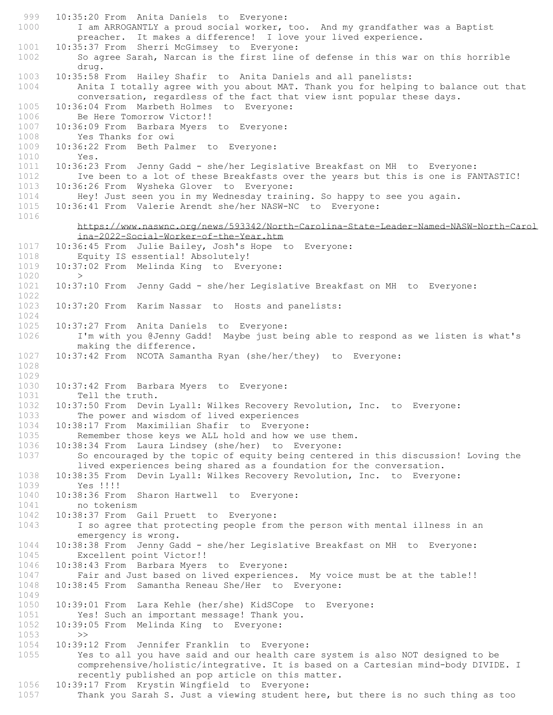999 10:35:20 From Anita Daniels to Everyone: 1000 I am ARROGANTLY a proud social worker, too. And my grandfather was a Baptist preacher. It makes a difference! I love your lived experience. 1001 10:35:37 From Sherri McGimsey to Everyone: 1002 So agree Sarah, Narcan is the first line of defense in this war on this horrible drug. 1003 10:35:58 From Hailey Shafir to Anita Daniels and all panelists: 1004 Anita I totally agree with you about MAT. Thank you for helping to balance out that conversation, regardless of the fact that view isnt popular these days. 1005 10:36:04 From Marbeth Holmes to Everyone: 1006 Be Here Tomorrow Victor!! 1007 10:36:09 From Barbara Myers to Everyone: 1008 Yes Thanks for owi 1009 10:36:22 From Beth Palmer to Everyone: 1010 Yes. 1011 10:36:23 From Jenny Gadd - she/her Legislative Breakfast on MH to Everyone: Ive been to a lot of these Breakfasts over the years but this is one is FANTASTIC! 1013 10:36:26 From Wysheka Glover to Everyone:<br>1014 Hey! Just seen you in my Wednesday train Hey! Just seen you in my Wednesday training. So happy to see you again. 1015 10:36:41 From Valerie Arendt she/her NASW-NC to Everyone: 1016 https://www.naswnc.org/news/593342/North-Carolina-State-Leader-Named-NASW-North-Carol ina-2022-Social-Worker-of-the-Year.htm 1017 10:36:45 From Julie Bailey, Josh's Hope to Everyone: Equity IS essential! Absolutely! 1019 10:37:02 From Melinda King to Everyone: 1020 > 1021 10:37:10 From Jenny Gadd - she/her Legislative Breakfast on MH to Everyone: 1022 1023 10:37:20 From Karim Nassar to Hosts and panelists: 1024 10:37:27 From Anita Daniels to Everyone: 1026 I'm with you @Jenny Gadd! Maybe just being able to respond as we listen is what's making the difference. 1027 10:37:42 From NCOTA Samantha Ryan (she/her/they) to Everyone: 1028 1029 1030 10:37:42 From Barbara Myers to Everyone: 1031 Tell the truth. 1032 10:37:50 From Devin Lyall: Wilkes Recovery Revolution, Inc. to Everyone:<br>1033 The power and wisdom of lived experiences The power and wisdom of lived experiences 1034 10:38:17 From Maximilian Shafir to Everyone: 1035 Remember those keys we ALL hold and how we use them. 1036 10:38:34 From Laura Lindsey (she/her) to Everyone: 1037 So encouraged by the topic of equity being centered in this discussion! Loving the lived experiences being shared as a foundation for the conversation. 1038 10:38:35 From Devin Lyall: Wilkes Recovery Revolution, Inc. to Everyone: 1039 Yes !!!! 1040 10:38:36 From Sharon Hartwell to Everyone:<br>1041 no tokenism no tokenism 1042 10:38:37 From Gail Pruett to Everyone: 1043 I so agree that protecting people from the person with mental illness in an emergency is wrong. 1044 10:38:38 From Jenny Gadd - she/her Legislative Breakfast on MH to Everyone: 1045 Excellent point Victor!! 1046 10:38:43 From Barbara Myers to Everyone:<br>1047 Fair and Just based on lived experience Fair and Just based on lived experiences. My voice must be at the table!! 1048 10:38:45 From Samantha Reneau She/Her to Everyone: 1049 1050 10:39:01 From Lara Kehle (her/she) KidSCope to Everyone:<br>1051 Yes! Such an important message! Thank you. Yes! Such an important message! Thank you. 1052 10:39:05 From Melinda King to Everyone: 1053 >> 1054 10:39:12 From Jennifer Franklin to Everyone: 1055 Yes to all you have said and our health care system is also NOT designed to be comprehensive/holistic/integrative. It is based on a Cartesian mind-body DIVIDE. I recently published an pop article on this matter. 1056 10:39:17 From Krystin Wingfield to Everyone: 1057 Thank you Sarah S. Just a viewing student here, but there is no such thing as too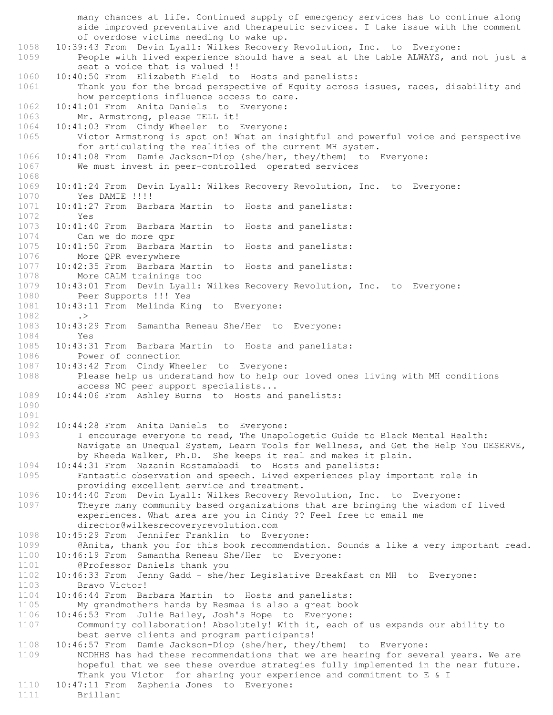many chances at life. Continued supply of emergency services has to continue along side improved preventative and therapeutic services. I take issue with the comment of overdose victims needing to wake up. 1058 10:39:43 From Devin Lyall: Wilkes Recovery Revolution, Inc. to Everyone: 1059 People with lived experience should have a seat at the table ALWAYS, and not just a seat a voice that is valued !! 1060 10:40:50 From Elizabeth Field to Hosts and panelists: 1061 Thank you for the broad perspective of Equity across issues, races, disability and how perceptions influence access to care. 1062 10:41:01 From Anita Daniels to Everyone: 1063 Mr. Armstrong, please TELL it! 1064 10:41:03 From Cindy Wheeler to Everyone: 1065 Victor Armstrong is spot on! What an insightful and powerful voice and perspective for articulating the realities of the current MH system. 1066 10:41:08 From Damie Jackson-Diop (she/her, they/them) to Everyone: 1067 We must invest in peer-controlled operated services 1068<br>1069 1069 10:41:24 From Devin Lyall: Wilkes Recovery Revolution, Inc. to Everyone: 1070 Yes DAMIE !!!! 1071 10:41:27 From Barbara Martin to Hosts and panelists: 1072 Yes 1073 10:41:40 From Barbara Martin to Hosts and panelists: 1074 Can we do more qpr 1075 10:41:50 From Barbara Martin to Hosts and panelists:<br>1076 More OPR everywhere More QPR everywhere 1077 10:42:35 From Barbara Martin to Hosts and panelists: 1078 More CALM trainings too 1079 10:43:01 From Devin Lyall: Wilkes Recovery Revolution, Inc. to Everyone:<br>1080 Peer Supports !!! Yes 1080 Peer Supports !!! Yes<br>1081 10:43:11 From Melinda Ki 10:43:11 From Melinda King to Everyone: 1082 .><br>1083 10:43: 1083 10:43:29 From Samantha Reneau She/Her to Everyone: 1084 Yes 1085 10:43:31 From Barbara Martin to Hosts and panelists: 1086 Power of connection<br>1087 10:43:42 From Cindy Whe 10:43:42 From Cindy Wheeler to Everyone: 1088 Please help us understand how to help our loved ones living with MH conditions access NC peer support specialists... 1089 10:44:06 From Ashley Burns to Hosts and panelists: 1090 1091 1092 10:44:28 From Anita Daniels to Everyone: 1093 I encourage everyone to read, The Unapologetic Guide to Black Mental Health: Navigate an Unequal System, Learn Tools for Wellness, and Get the Help You DESERVE, by Rheeda Walker, Ph.D. She keeps it real and makes it plain. 1094 10:44:31 From Nazanin Rostamabadi to Hosts and panelists:<br>1095 Fantastic observation and speech. Lived experiences play Fantastic observation and speech. Lived experiences play important role in providing excellent service and treatment. 1096 10:44:40 From Devin Lyall: Wilkes Recovery Revolution, Inc. to Everyone:<br>1097 Thevre many community based organizations that are bringing the wisdom Theyre many community based organizations that are bringing the wisdom of lived experiences. What area are you in Cindy ?? Feel free to email me director@wilkesrecoveryrevolution.com 1098 10:45:29 From Jennifer Franklin to Everyone:<br>1099 0 (Anita, thank you for this book recommendat @Anita, thank you for this book recommendation. Sounds a like a very important read. 1100 10:46:19 From Samantha Reneau She/Her to Everyone: 1101 **@Professor Daniels thank you**<br>1102 **10:46:33 From Jenny Gadd - she/** 1102 10:46:33 From Jenny Gadd - she/her Legislative Breakfast on MH to Everyone: 1103 Bravo Victor! 1104 10:46:44 From Barbara Martin to Hosts and panelists: 1105 My grandmothers hands by Resmaa is also a great book<br>1106 10:46:53 From Julie Bailey, Josh's Hope to Everyone: 10:46:53 From Julie Bailey, Josh's Hope to Everyone: 1107 Community collaboration! Absolutely! With it, each of us expands our ability to best serve clients and program participants! 1108 10:46:57 From Damie Jackson-Diop (she/her, they/them) to Everyone: 1109 NCDHHS has had these recommendations that we are hearing for several years. We are hopeful that we see these overdue strategies fully implemented in the near future. Thank you Victor for sharing your experience and commitment to E & I 1110 10:47:11 From Zaphenia Jones to Everyone: 1111 Brillant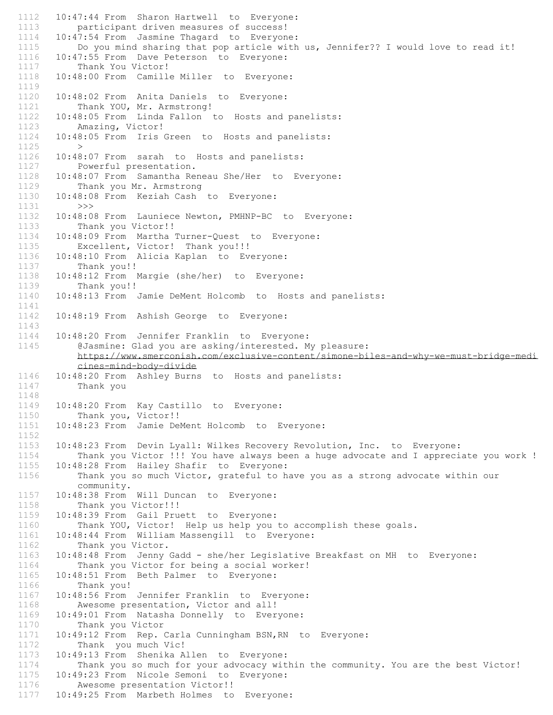1112 10:47:44 From Sharon Hartwell to Everyone: 1113 participant driven measures of success! 1114 10:47:54 From Jasmine Thagard to Everyone:<br>1115 Do you mind sharing that pop article with Do you mind sharing that pop article with us, Jennifer?? I would love to read it! 1116 10:47:55 From Dave Peterson to Everyone: 1117 Thank You Victor!<br>1118 10:48:00 From Camill 10:48:00 From Camille Miller to Everyone: 1119 1120 10:48:02 From Anita Daniels to Everyone: 1121 Thank YOU, Mr. Armstrong! 1122 10:48:05 From Linda Fallon to Hosts and panelists: 1123 Amazing, Victor! 1124 10:48:05 From Iris Green to Hosts and panelists:  $1125$  > 1126 10:48:07 From sarah to Hosts and panelists: 1127 Powerful presentation. 1128 10:48:07 From Samantha Reneau She/Her to Everyone: 1129 Thank you Mr. Armstrong 1130 10:48:08 From Keziah Cash to Everyone: 1131 >>> 1132 10:48:08 From Launiece Newton, PMHNP-BC to Everyone: 1133 Thank you Victor!! 1134 10:48:09 From Martha Turner-Quest to Everyone: 1135 Excellent, Victor! Thank you!!! 1136 10:48:10 From Alicia Kaplan to Everyone: 1137 Thank you!! 1138 10:48:12 From Margie (she/her) to Everyone:<br>1139 Thank you!! Thank you!! 1140 10:48:13 From Jamie DeMent Holcomb to Hosts and panelists: 1141 1142 10:48:19 From Ashish George to Everyone: 1143 1144 10:48:20 From Jennifer Franklin to Everyone: 1145 @Jasmine: Glad you are asking/interested. My pleasure: https://www.smerconish.com/exclusive-content/simone-biles-and-why-we-must-bridge-medi cines-mind-body-divide 1146 10:48:20 From Ashley Burns to Hosts and panelists: 1147 Thank you 1148 1149 10:48:20 From Kay Castillo to Everyone: 1150 Thank you, Victor!! 1151 10:48:23 From Jamie DeMent Holcomb to Everyone: 1152 1153 10:48:23 From Devin Lyall: Wilkes Recovery Revolution, Inc. to Everyone: 1154 Thank you Victor !!! You have always been a huge advocate and I appreciate you work ! 1155 10:48:28 From Hailey Shafir to Everyone:<br>1156 Thank you so much Victor, grateful to h Thank you so much Victor, grateful to have you as a strong advocate within our community. 1157 10:48:38 From Will Duncan to Everyone:<br>1158 Thank you Victor!!! Thank you Victor!!! 1159 10:48:39 From Gail Pruett to Everyone: 1160 Thank YOU, Victor! Help us help you to accomplish these goals. 1161 10:48:44 From William Massengill to Everyone:<br>1162 Thank you Victor. Thank you Victor. 1163 10:48:48 From Jenny Gadd - she/her Legislative Breakfast on MH to Everyone: 1164 Thank you Victor for being a social worker! 1165 10:48:51 From Beth Palmer to Everyone:<br>1166 Thank you! Thank you! 1167 10:48:56 From Jennifer Franklin to Everyone: 1168 Awesome presentation, Victor and all!<br>1169 10:49:01 From Natasha Donnelly to Ever 10:49:01 From Natasha Donnelly to Everyone: 1170 Thank you Victor 1171 10:49:12 From Rep. Carla Cunningham BSN, RN to Everyone:<br>1172 Thank you much Vic! Thank you much Vic! 1173 10:49:13 From Shenika Allen to Everyone: 1174 Thank you so much for your advocacy within the community. You are the best Victor! 1175 10:49:23 From Nicole Semoni to Everyone:<br>1176 Awesome presentation Victor!! 1176 Mwesome presentation Victor!!<br>1177 10:49:25 From Marbeth Holmes to 10:49:25 From Marbeth Holmes to Everyone: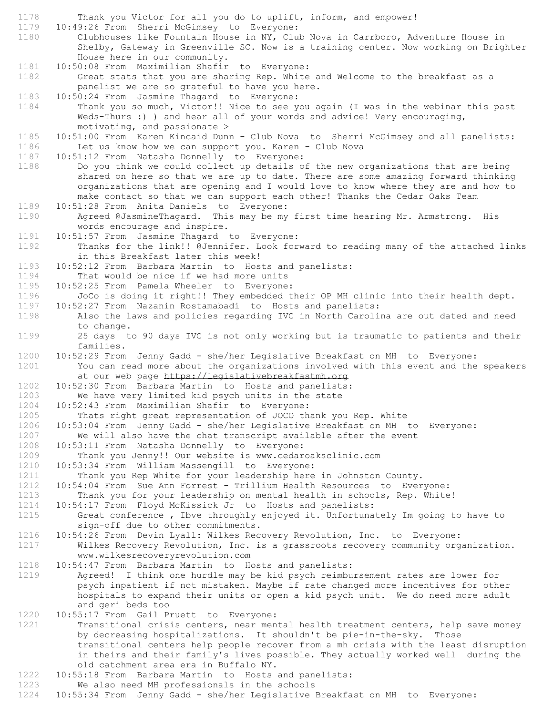1178 Thank you Victor for all you do to uplift, inform, and empower! 1179 10:49:26 From Sherri McGimsey to Everyone: 1180 Clubhouses like Fountain House in NY, Club Nova in Carrboro, Adventure House in Shelby, Gateway in Greenville SC. Now is a training center. Now working on Brighter House here in our community. 1181 10:50:08 From Maximilian Shafir to Everyone: 1182 Great stats that you are sharing Rep. White and Welcome to the breakfast as a panelist we are so grateful to have you here. 1183 10:50:24 From Jasmine Thagard to Everyone: 1184 Thank you so much, Victor!! Nice to see you again (I was in the webinar this past Weds-Thurs :) ) and hear all of your words and advice! Very encouraging, motivating, and passionate > 1185 10:51:00 From Karen Kincaid Dunn - Club Nova to Sherri McGimsey and all panelists:<br>1186 Let us know how we can support you. Karen - Club Nova 1186 Let us know how we can support you. Karen - Club Nova<br>1187 10:51:12 From Natasha Donnelly to Everyone: 10:51:12 From Natasha Donnelly to Everyone: 1188 Do you think we could collect up details of the new organizations that are being shared on here so that we are up to date. There are some amazing forward thinking organizations that are opening and I would love to know where they are and how to make contact so that we can support each other! Thanks the Cedar Oaks Team 1189 10:51:28 From Anita Daniels to Everyone: 1190 Agreed @JasmineThagard. This may be my first time hearing Mr. Armstrong. His words encourage and inspire. 1191 10:51:57 From Jasmine Thagard to Everyone: 1192 Thanks for the link!! @Jennifer. Look forward to reading many of the attached links in this Breakfast later this week! 1193 10:52:12 From Barbara Martin to Hosts and panelists: 1194 That would be nice if we had more units 1195 10:52:25 From Pamela Wheeler to Everyone: 1196 JoCo is doing it right!! They embedded their OP MH clinic into their health dept. 1197 10:52:27 From Nazanin Rostamabadi to Hosts and panelists: 1198 Also the laws and policies regarding IVC in North Carolina are out dated and need to change. 1199 25 days to 90 days IVC is not only working but is traumatic to patients and their families. 1200 10:52:29 From Jenny Gadd - she/her Legislative Breakfast on MH to Everyone: 1201 You can read more about the organizations involved with this event and the speakers at our web page https://legislativebreakfastmh.org 1202 10:52:30 From Barbara Martin to Hosts and panelists: 1203 We have very limited kid psych units in the state 1204 10:52:43 From Maximilian Shafir to Everyone: 1205 Thats right great representation of JOCO thank you Rep. White 1206 10:53:04 From Jenny Gadd - she/her Legislative Breakfast on MH to Everyone: 1207 We will also have the chat transcript available after the event 1208 10:53:11 From Natasha Donnelly to Everyone: 1209 Thank you Jenny!! Our website is www.cedaroaksclinic.com 1210 10:53:34 From William Massengill to Everyone:<br>1211 Thank you Rep White for your leadership here Thank you Rep White for your leadership here in Johnston County. 1212 10:54:04 From Sue Ann Forrest - Trillium Health Resources to Everyone: 1213 Thank you for your leadership on mental health in schools, Rep. White!<br>1214 10:54:17 From Floyd McKissick Jr to Hosts and panelists: 1214 10:54:17 From Floyd McKissick Jr to Hosts and panelists: 1215 Great conference , Ibve throughly enjoyed it. Unfortunately Im going to have to sign-off due to other commitments. 1216 10:54:26 From Devin Lyall: Wilkes Recovery Revolution, Inc. to Everyone:<br>1217 Wilkes Recovery Revolution, Inc. is a grassroots recovery community org Wilkes Recovery Revolution, Inc. is a grassroots recovery community organization. www.wilkesrecoveryrevolution.com 1218 10:54:47 From Barbara Martin to Hosts and panelists:<br>1219 10:54:47 From Barbara Martin to Hosts and panelists: Agreed! I think one hurdle may be kid psych reimbursement rates are lower for psych inpatient if not mistaken. Maybe if rate changed more incentives for other hospitals to expand their units or open a kid psych unit. We do need more adult and geri beds too 1220 10:55:17 From Gail Pruett to Everyone: 1221 Transitional crisis centers, near mental health treatment centers, help save money by decreasing hospitalizations. It shouldn't be pie-in-the-sky. Those transitional centers help people recover from a mh crisis with the least disruption in theirs and their family's lives possible. They actually worked well during the old catchment area era in Buffalo NY. 1222 10:55:18 From Barbara Martin to Hosts and panelists:<br>1223 We also need MH professionals in the schools

We also need MH professionals in the schools

1224 10:55:34 From Jenny Gadd - she/her Legislative Breakfast on MH to Everyone: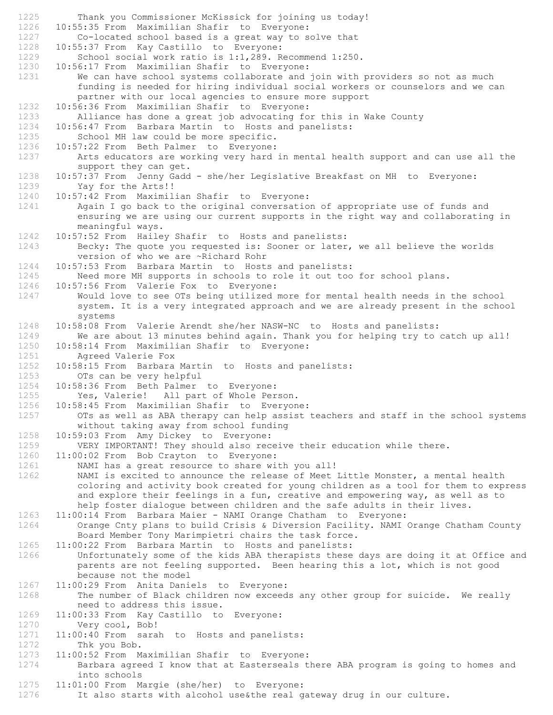1225 Thank you Commissioner McKissick for joining us today! 1226 10:55:35 From Maximilian Shafir to Everyone: 1227 Co-located school based is a great way to solve that 1228 10:55:37 From Kay Castillo to Everyone: 10:55:37 From Kay Castillo to Everyone: 1229 School social work ratio is 1:1,289. Recommend 1:250. 1230 10:56:17 From Maximilian Shafir to Everyone: 1231 We can have school systems collaborate and join with providers so not as much funding is needed for hiring individual social workers or counselors and we can partner with our local agencies to ensure more support 1232 10:56:36 From Maximilian Shafir to Everyone: 1233 Alliance has done a great job advocating for this in Wake County 1234 10:56:47 From Barbara Martin to Hosts and panelists: 1235 School MH law could be more specific.<br>1236 10:57:22 From Beth Palmer to Everyone: 10:57:22 From Beth Palmer to Everyone: 1237 Arts educators are working very hard in mental health support and can use all the support they can get. 1238 10:57:37 From Jenny Gadd - she/her Legislative Breakfast on MH to Everyone: 1239 Yay for the Arts!! 1240 10:57:42 From Maximilian Shafir to Everyone: 1241 Again I go back to the original conversation of appropriate use of funds and ensuring we are using our current supports in the right way and collaborating in meaningful ways. 1242 10:57:52 From Hailey Shafir to Hosts and panelists: 1243 Becky: The quote you requested is: Sooner or later, we all believe the worlds version of who we are ~Richard Rohr 1244 10:57:53 From Barbara Martin to Hosts and panelists: 1245 Need more MH supports in schools to role it out too for school plans. 1246 10:57:56 From Valerie Fox to Everyone: 1247 Would love to see OTs being utilized more for mental health needs in the school system. It is a very integrated approach and we are already present in the school systems 1248 10:58:08 From Valerie Arendt she/her NASW-NC to Hosts and panelists: 1249 We are about 13 minutes behind again. Thank you for helping try to catch up all! 1250 10:58:14 From Maximilian Shafir to Everyone: 1251 Agreed Valerie Fox 1252 10:58:15 From Barbara Martin to Hosts and panelists: 1253 OTs can be very helpful 1254 10:58:36 From Beth Palmer to Everyone: 1255 Yes, Valerie! All part of Whole Person. 1256 10:58:45 From Maximilian Shafir to Everyone: 1257 OTs as well as ABA therapy can help assist teachers and staff in the school systems without taking away from school funding 1258 10:59:03 From Amy Dickey to Everyone: 1259 VERY IMPORTANT! They should also receive their education while there. 1260 11:00:02 From Bob Crayton to Everyone: 1261 MAMI has a great resource to share with you all!<br>1262 MAMI is excited to announce the release of Meet NAMI is excited to announce the release of Meet Little Monster, a mental health coloring and activity book created for young children as a tool for them to express and explore their feelings in a fun, creative and empowering way, as well as to help foster dialogue between children and the safe adults in their lives. 1263 11:00:14 From Barbara Maier - NAMI Orange Chatham to Everyone: 1264 Orange Cnty plans to build Crisis & Diversion Facility. NAMI Orange Chatham County Board Member Tony Marimpietri chairs the task force. 1265 11:00:22 From Barbara Martin to Hosts and panelists: 1266 Unfortunately some of the kids ABA therapists these days are doing it at Office and parents are not feeling supported. Been hearing this a lot, which is not good because not the model 1267 11:00:29 From Anita Daniels to Everyone: 1268 The number of Black children now exceeds any other group for suicide. We really need to address this issue. 1269 11:00:33 From Kay Castillo to Everyone: 1270 Very cool, Bob! 1271 11:00:40 From sarah to Hosts and panelists: 1272 Thk you Bob. 1273 11:00:52 From Maximilian Shafir to Everyone: 1274 Barbara agreed I know that at Easterseals there ABA program is going to homes and into schools 1275 11:01:00 From Margie (she/her) to Everyone: 1276 It also starts with alcohol use&the real gateway drug in our culture.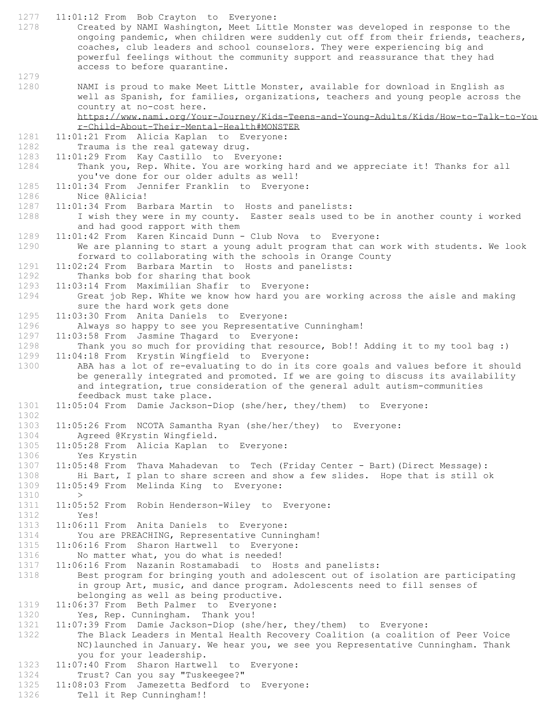1277 11:01:12 From Bob Crayton to Everyone:

- 1278 Created by NAMI Washington, Meet Little Monster was developed in response to the ongoing pandemic, when children were suddenly cut off from their friends, teachers, coaches, club leaders and school counselors. They were experiencing big and powerful feelings without the community support and reassurance that they had access to before quarantine. 1279
- 1280 NAMI is proud to make Meet Little Monster, available for download in English as well as Spanish, for families, organizations, teachers and young people across the country at no-cost here. https://www.nami.org/Your-Journey/Kids-Teens-and-Young-Adults/Kids/How-to-Talk-to-You

r-Child-About-Their-Mental-Health#MONSTER

1281 11:01:21 From Alicia Kaplan to Everyone:<br>1282 Trauma is the real gateway drug.

Trauma is the real gateway drug.

- 1283 11:01:29 From Kay Castillo to Everyone: 1284 Thank you, Rep. White. You are working hard and we appreciate it! Thanks for all you've done for our older adults as well!
- 1285 11:01:34 From Jennifer Franklin to Everyone:

1286 Nice @Alicia!

1287 11:01:34 From Barbara Martin to Hosts and panelists:

1288 I wish they were in my county. Easter seals used to be in another county i worked and had good rapport with them

1289 11:01:42 From Karen Kincaid Dunn - Club Nova to Everyone: 1290 We are planning to start a young adult program that can work with students. We look forward to collaborating with the schools in Orange County

1291 11:02:24 From Barbara Martin to Hosts and panelists:

1292 Thanks bob for sharing that book

1293 11:03:14 From Maximilian Shafir to Everyone:

- 1294 Great job Rep. White we know how hard you are working across the aisle and making sure the hard work gets done
- 1295 11:03:30 From Anita Daniels to Everyone:
- 1296 Always so happy to see you Representative Cunningham!
- 1297 11:03:58 From Jasmine Thagard to Everyone:
- 1298 Thank you so much for providing that resource, Bob!! Adding it to my tool bag :) 1299 11:04:18 From Krystin Wingfield to Everyone:<br>1300 ABA has a lot of re-evaluating to do in its

ABA has a lot of re-evaluating to do in its core goals and values before it should be generally integrated and promoted. If we are going to discuss its availability and integration, true consideration of the general adult autism-communities feedback must take place.

- 1301 11:05:04 From Damie Jackson-Diop (she/her, they/them) to Everyone:
- 1303 11:05:26 From NCOTA Samantha Ryan (she/her/they) to Everyone: 1304 Agreed @Krystin Wingfield.
- 1305 11:05:28 From Alicia Kaplan to Everyone:
- 1306 Yes Krystin
- 1307 11:05:48 From Thava Mahadevan to Tech (Friday Center Bart) (Direct Message):<br>1308 Hi Bart, I plan to share screen and show a few slides. Hope that is still o Hi Bart, I plan to share screen and show a few slides. Hope that is still ok 1309 11:05:49 From Melinda King to Everyone:

- $1310$  ><br> $1311$   $11:05$ 11:05:52 From Robin Henderson-Wiley to Everyone:
- 1312 Yes!

1302

- 1313 11:06:11 From Anita Daniels to Everyone:
- 1314 You are PREACHING, Representative Cunningham!<br>1315 11:06:16 From Sharon Hartwell to Everyone:
- 11:06:16 From Sharon Hartwell to Everyone:
- 1316 No matter what, you do what is needed!
- 1317 11:06:16 From Nazanin Rostamabadi to Hosts and panelists:<br>1318 Best program for bringing youth and adolescent out of is

Best program for bringing youth and adolescent out of isolation are participating in group Art, music, and dance program. Adolescents need to fill senses of belonging as well as being productive.

- 
- 1319 11:06:37 From Beth Palmer to Everyone:<br>1320 Yes, Rep. Cunningham. Thank you! Yes, Rep. Cunningham. Thank you!
- 1321 11:07:39 From Damie Jackson-Diop (she/her, they/them) to Everyone:

1322 The Black Leaders in Mental Health Recovery Coalition (a coalition of Peer Voice NC)launched in January. We hear you, we see you Representative Cunningham. Thank you for your leadership.

- 1323 11:07:40 From Sharon Hartwell to Everyone:
- 1324 Trust? Can you say "Tuskeegee?"<br>1325 11:08:03 From Jamezetta Bedford to
- 11:08:03 From Jamezetta Bedford to Everyone:
- 1326 Tell it Rep Cunningham!!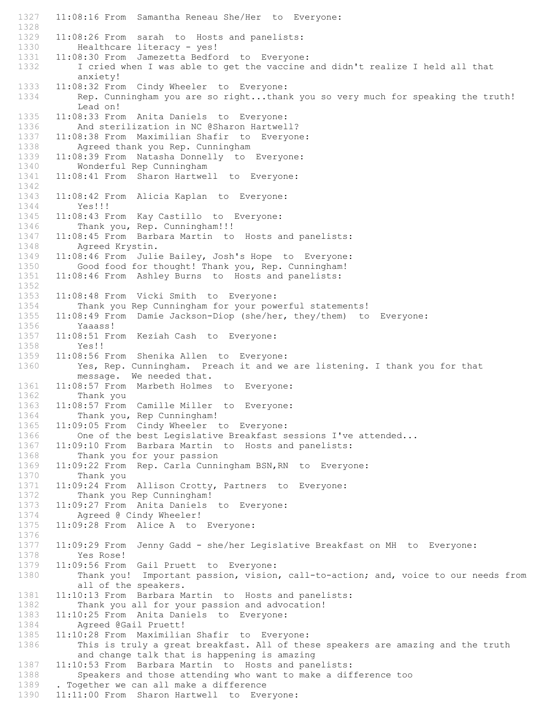1327 11:08:16 From Samantha Reneau She/Her to Everyone: 1328 1329 11:08:26 From sarah to Hosts and panelists:<br>1330 Healthcare literacy - yes! Healthcare literacy - yes! 1331 11:08:30 From Jamezetta Bedford to Everyone: 1332 I cried when I was able to get the vaccine and didn't realize I held all that anxiety! 1333 11:08:32 From Cindy Wheeler to Everyone: 1334 Rep. Cunningham you are so right...thank you so very much for speaking the truth! Lead on! 1335 11:08:33 From Anita Daniels to Everyone: 1336 And sterilization in NC @Sharon Hartwell? 1337 11:08:38 From Maximilian Shafir to Everyone:<br>1338 Agreed thank you Rep. Cunningham Agreed thank you Rep. Cunningham 1339 11:08:39 From Natasha Donnelly to Everyone: 1340 Wonderful Rep Cunningham 1341 11:08:41 From Sharon Hartwell to Everyone: 1342 1343 11:08:42 From Alicia Kaplan to Everyone: Yes!!! 1345 11:08:43 From Kay Castillo to Everyone: 1346 Thank you, Rep. Cunningham!!! 1347 11:08:45 From Barbara Martin to Hosts and panelists: 1348 Agreed Krystin.<br>1349 11:08:46 From Juli 11:08:46 From Julie Bailey, Josh's Hope to Everyone: 1350 Good food for thought! Thank you, Rep. Cunningham! 1351 11:08:46 From Ashley Burns to Hosts and panelists: 1352<br>1353 1353 11:08:48 From Vicki Smith to Everyone:<br>1354 Thank you Rep Cunningham for your pow Thank you Rep Cunningham for your powerful statements! 1355 11:08:49 From Damie Jackson-Diop (she/her, they/them) to Everyone: 1356 Yaaass! 1357 11:08:51 From Keziah Cash to Everyone: 1358 Yes!!<br>1359 11:08:56 J 1359 11:08:56 From Shenika Allen to Everyone:<br>1360 Yes, Rep. Cunningham. Preach it and we Yes, Rep. Cunningham. Preach it and we are listening. I thank you for that message. We needed that. 1361 11:08:57 From Marbeth Holmes to Everyone: 1362 Thank you 1363 11:08:57 From Camille Miller to Everyone: 1364 Thank you, Rep Cunningham! 1365 11:09:05 From Cindy Wheeler to Everyone: 1366 One of the best Leqislative Breakfast sessions I've attended... 1367 11:09:10 From Barbara Martin to Hosts and panelists:<br>1368 Thank you for your passion Thank you for your passion 1369 11:09:22 From Rep. Carla Cunningham BSN, RN to Everyone:<br>1370 Thank you Thank you 1371 11:09:24 From Allison Crotty, Partners to Everyone: 1372 Thank you Rep Cunningham!<br>1373 11:09:27 From Anita Daniels 11:09:27 From Anita Daniels to Everyone: 1374 Agreed @ Cindy Wheeler! 1375 11:09:28 From Alice A to Everyone: 1376 1377 11:09:29 From Jenny Gadd - she/her Legislative Breakfast on MH to Everyone: 1378 Yes Rose! 1379 11:09:56 From Gail Pruett to Everyone:<br>1380 Thank you! Important passion, vision Thank you! Important passion, vision, call-to-action; and, voice to our needs from all of the speakers. 1381 11:10:13 From Barbara Martin to Hosts and panelists: 1382 Thank you all for your passion and advocation!<br>1383 11:10:25 From Anita Daniels to Everyone: 11:10:25 From Anita Daniels to Everyone: 1384 Agreed @Gail Pruett!<br>1385 11:10:28 From Maximilia 1385 11:10:28 From Maximilian Shafir to Everyone:<br>1386 This is truly a great breakfast. All of the This is truly a great breakfast. All of these speakers are amazing and the truth and change talk that is happening is amazing 1387 11:10:53 From Barbara Martin to Hosts and panelists: 1388 Speakers and those attending who want to make a difference too<br>1389 . Together we can all make a difference . Together we can all make a difference 1390 11:11:00 From Sharon Hartwell to Everyone: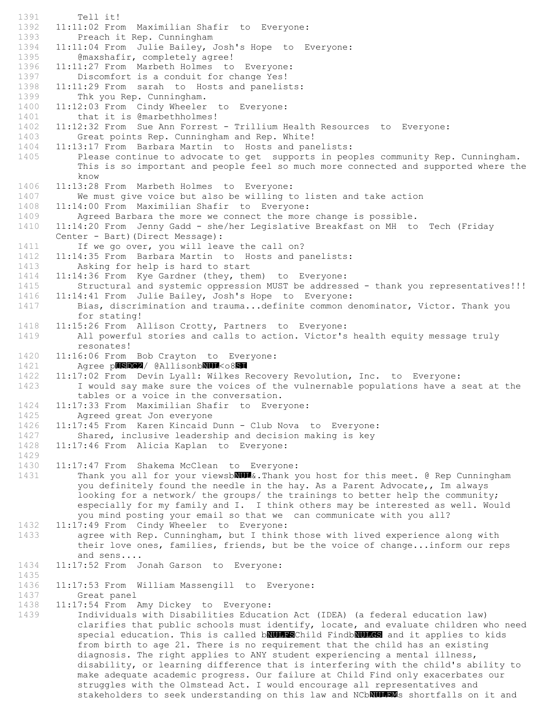1391 Tell it! 1392 11:11:02 From Maximilian Shafir to Everyone: 1393 Preach it Rep. Cunningham<br>1394 11:11:04 From Julie Bailey, 11:11:04 From Julie Bailey, Josh's Hope to Everyone: 1395 **@maxshafir, completely agree!** 1396 11:11:27 From Marbeth Holmes to Everyone: 1397 Discomfort is a conduit for change Yes! 1398 11:11:29 From sarah to Hosts and panelists: 1399 Thk you Rep. Cunningham. 1400 11:12:03 From Cindy Wheeler to Everyone: 1401 that it is @marbethholmes! 1402 11:12:32 From Sue Ann Forrest - Trillium Health Resources to Everyone: 1403 Great points Rep. Cunningham and Rep. White! 1404 11:13:17 From Barbara Martin to Hosts and panelists: 1405 Please continue to advocate to get supports in peoples community Rep. Cunningham. This is so important and people feel so much more connected and supported where the know 1406 11:13:28 From Marbeth Holmes to Everyone: 1407 We must give voice but also be willing to listen and take action 1408 11:14:00 From Maximilian Shafir to Everyone: 1409 Agreed Barbara the more we connect the more change is possible. 1410 11:14:20 From Jenny Gadd - she/her Legislative Breakfast on MH to Tech (Friday Center - Bart)(Direct Message): 1411 If we go over, you will leave the call on?<br>1412 11:14:35 From Barbara Martin to Hosts and pa 1412 11:14:35 From Barbara Martin to Hosts and panelists: 1413 Asking for help is hard to start 1414 11:14:36 From Kye Gardner (they, them) to Everyone: 1415 Structural and systemic oppression MUST be addressed - thank you representatives!!! 1416 11:14:41 From Julie Bailey, Josh's Hope to Everyone: 1417 Bias, discrimination and trauma...definite common denominator, Victor. Thank you for stating! 1418 11:15:26 From Allison Crotty, Partners to Everyone: 1419 All powerful stories and calls to action. Victor's health equity message truly resonates! 1420 11:16:06 From Bob Crayton to Everyone: 1421 Agree pUSDC2/ @AllisonbNUL<o8SI 1422 11:17:02 From Devin Lyall: Wilkes Recovery Revolution, Inc. to Everyone: 1423 I would say make sure the voices of the vulnernable populations have a seat at the tables or a voice in the conversation. 1424 11:17:33 From Maximilian Shafir to Everyone: 1425 Agreed great Jon everyone 1426 11:17:45 From Karen Kincaid Dunn - Club Nova to Everyone: 1427 Shared, inclusive leadership and decision making is key 1428 11:17:46 From Alicia Kaplan to Everyone: 1429 1430 11:17:47 From Shakema McClean to Everyone:<br>1431 Thank you all for your viewsb**NUM**&.Thank y Thank you all for your viewsb**NUL**&. Thank you host for this meet. @ Rep Cunningham you definitely found the needle in the hay. As a Parent Advocate,, Im always looking for a network/ the groups/ the trainings to better help the community; especially for my family and I. I think others may be interested as well. Would you mind posting your email so that we can communicate with you all? 1432 11:17:49 From Cindy Wheeler to Everyone: 1433 agree with Rep. Cunningham, but I think those with lived experience along with their love ones, families, friends, but be the voice of change...inform our reps and sens.... 1434 11:17:52 From Jonah Garson to Everyone: 1435 1436 11:17:53 From William Massengill to Everyone: 1437 Great panel 1438 11:17:54 From Amy Dickey to Everyone:<br>1439 1ndividuals with Disabilities Educat Individuals with Disabilities Education Act (IDEA) (a federal education law) clarifies that public schools must identify, locate, and evaluate children who need special education. This is called bNULFSChild FindbNULGS and it applies to kids from birth to age 21. There is no requirement that the child has an existing diagnosis. The right applies to ANY student experiencing a mental illness, disability, or learning difference that is interfering with the child's ability to make adequate academic progress. Our failure at Child Find only exacerbates our

struggles with the Olmstead Act. I would encourage all representatives and

stakeholders to seek understanding on this law and NCbNULHOMs shortfalls on it and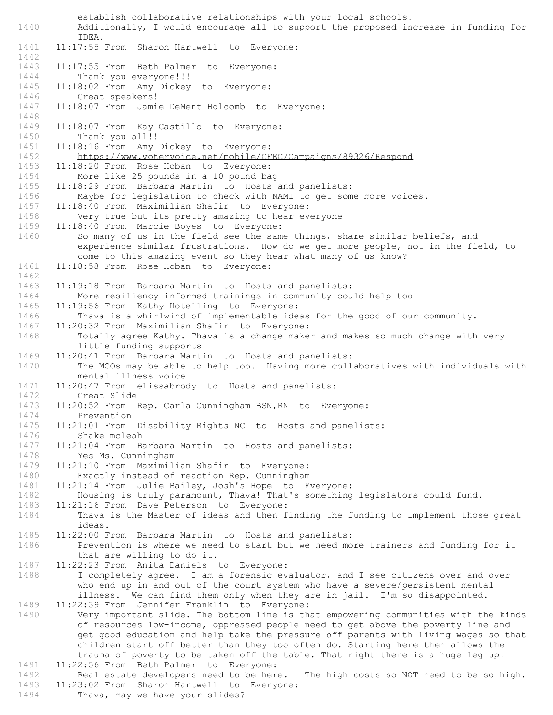establish collaborative relationships with your local schools. 1440 Additionally, I would encourage all to support the proposed increase in funding for IDEA. 1441 11:17:55 From Sharon Hartwell to Everyone: 1442 1443 11:17:55 From Beth Palmer to Everyone:<br>1444 Thank you everyone!!! Thank you everyone!!! 1445 11:18:02 From Amy Dickey to Everyone: 1446 Great speakers! 1447 11:18:07 From Jamie DeMent Holcomb to Everyone: 1448 1449 11:18:07 From Kay Castillo to Everyone: 1450 Thank you all!!<br>1451 11:18:16 From Amv 11:18:16 From Amy Dickey to Everyone: 1452 https://www.votervoice.net/mobile/CFEC/Campaigns/89326/Respond 1453 11:18:20 From Rose Hoban to Everyone: 1454 More like 25 pounds in a 10 pound bag<br>1455 11:18:29 From Barbara Martin to Hosts 11:18:29 From Barbara Martin to Hosts and panelists: 1456 Maybe for legislation to check with NAMI to get some more voices. 1457 11:18:40 From Maximilian Shafir to Everyone: 1458 Very true but its pretty amazing to hear everyone 1459 11:18:40 From Marcie Boyes to Everyone: 1460 So many of us in the field see the same things, share similar beliefs, and experience similar frustrations. How do we get more people, not in the field, to come to this amazing event so they hear what many of us know? 1461 11:18:58 From Rose Hoban to Everyone: 1462 1463 11:19:18 From Barbara Martin to Hosts and panelists: 1464 More resiliency informed trainings in community could help too 1465 11:19:56 From Kathy Hotelling to Everyone: 1466 Thava is a whirlwind of implementable ideas for the good of our community.<br>1467 11:20:32 From Maximilian Shafir to Everyone: 11:20:32 From Maximilian Shafir to Everyone: 1468 Totally agree Kathy. Thava is a change maker and makes so much change with very little funding supports 1469 11:20:41 From Barbara Martin to Hosts and panelists: 1470 The MCOs may be able to help too. Having more collaboratives with individuals with mental illness voice 1471 11:20:47 From elissabrody to Hosts and panelists: 1472 Great Slide 1473 11:20:52 From Rep. Carla Cunningham BSN,RN to Everyone: 1474 Prevention 1475 11:21:01 From Disability Rights NC to Hosts and panelists: 1476 Shake mcleah 1477 11:21:04 From Barbara Martin to Hosts and panelists: 1478 Yes Ms. Cunningham 1479 11:21:10 From Maximilian Shafir to Everyone:<br>1480 Exactly instead of reaction Rep. Cunningham Exactly instead of reaction Rep. Cunningham 1481 11:21:14 From Julie Bailey, Josh's Hope to Everyone: 1482 Housing is truly paramount, Thava! That's something legislators could fund.<br>1483 11:21:16 From Dave Peterson to Everyone: 11:21:16 From Dave Peterson to Everyone: 1484 Thava is the Master of ideas and then finding the funding to implement those great ideas. 1485 11:22:00 From Barbara Martin to Hosts and panelists: 1486 Prevention is where we need to start but we need more trainers and funding for it that are willing to do it. 1487 11:22:23 From Anita Daniels to Everyone:<br>1488 I completely agree. I am a forensic ever I completely agree. I am a forensic evaluator, and I see citizens over and over who end up in and out of the court system who have a severe/persistent mental illness. We can find them only when they are in jail. I'm so disappointed. 1489 11:22:39 From Jennifer Franklin to Everyone:<br>1490 Very important slide. The bottom line is th Very important slide. The bottom line is that empowering communities with the kinds of resources low-income, oppressed people need to get above the poverty line and get good education and help take the pressure off parents with living wages so that children start off better than they too often do. Starting here then allows the trauma of poverty to be taken off the table. That right there is a huge leg up! 1491 11:22:56 From Beth Palmer to Everyone: 1492 Real estate developers need to be here. The high costs so NOT need to be so high.<br>1493 11:23:02 From Sharon Hartwell to Evervone: 11:23:02 From Sharon Hartwell to Everyone:

1494 Thava, may we have your slides?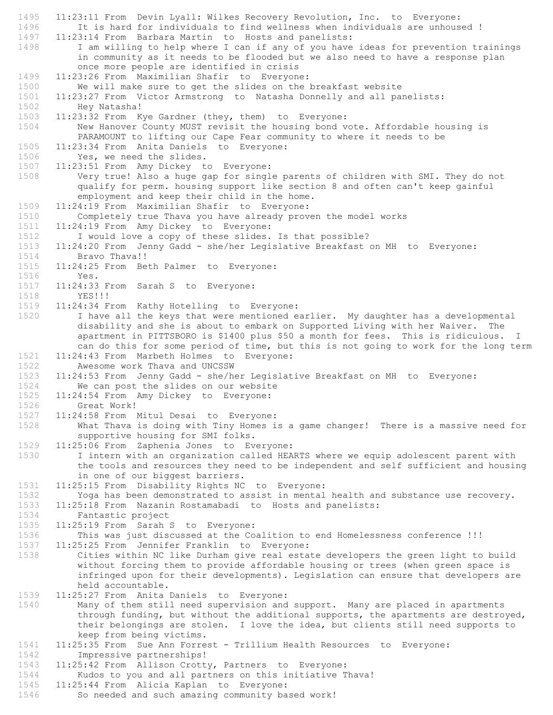1495 11:23:11 From Devin Lyall: Wilkes Recovery Revolution, Inc. to Everyone: 1496 It is hard for individuals to find wellness when individuals are unhoused ! 1497 11:23:14 From Barbara Martin to Hosts and panelists:<br>1498 I am willing to help where I can if any of you have I am willing to help where I can if any of you have ideas for prevention trainings in community as it needs to be flooded but we also need to have a response plan once more people are identified in crisis 1499 11:23:26 From Maximilian Shafir to Everyone: 1500 We will make sure to get the slides on the breakfast website 1501 11:23:27 From Victor Armstrong to Natasha Donnelly and all panelists: 1502 Hey Natasha! 1503 11:23:32 From Kye Gardner (they, them) to Everyone: 1504 New Hanover County MUST revisit the housing bond vote. Affordable housing is PARAMOUNT to lifting our Cape Fear community to where it needs to be 1505 11:23:34 From Anita Daniels to Everyone: 1506 Yes, we need the slides. 1507 11:23:51 From Amy Dickey to Everyone: 1508 Very true! Also a huge gap for single parents of children with SMI. They do not qualify for perm. housing support like section 8 and often can't keep gainful employment and keep their child in the home. 1509 11:24:19 From Maximilian Shafir to Everyone: 1510 Completely true Thava you have already proven the model works 1511 11:24:19 From Amy Dickey to Everyone: 1512 I would love a copy of these slides. Is that possible? 1513 11:24:20 From Jenny Gadd - she/her Legislative Breakfast on MH to Everyone: Bravo Thava!! 1515 11:24:25 From Beth Palmer to Everyone: 1516 Yes. 1517 11:24:33 From Sarah S to Everyone: 1518 YES!!! 1519 11:24:34 From Kathy Hotelling to Everyone: 1520 I have all the keys that were mentioned earlier. My daughter has a developmental disability and she is about to embark on Supported Living with her Waiver. The apartment in PITTSBORO is \$1400 plus \$50 a month for fees. This is ridiculous. I can do this for some period of time, but this is not going to work for the long term 1521 11:24:43 From Marbeth Holmes to Everyone:<br>1522 Awesome work Thava and UNCSSW Awesome work Thava and UNCSSW 1523 11:24:53 From Jenny Gadd - she/her Legislative Breakfast on MH to Everyone: 1524 We can post the slides on our website 1525 11:24:54 From Amy Dickey to Everyone: 1526 Great Work! 1527 11:24:58 From Mitul Desai to Everyone: 1528 What Thava is doing with Tiny Homes is a game changer! There is a massive need for supportive housing for SMI folks. 1529 11:25:06 From Zaphenia Jones to Everyone: 1530 I intern with an organization called HEARTS where we equip adolescent parent with the tools and resources they need to be independent and self sufficient and housing in one of our biggest barriers. 1531 11:25:15 From Disability Rights NC to Everyone: 1532 Yoga has been demonstrated to assist in mental health and substance use recovery.<br>1533 11:25:18 From Nazanin Rostamabadi to Hosts and panelists: 11:25:18 From Nazanin Rostamabadi to Hosts and panelists: 1534 Fantastic project 1535 11:25:19 From Sarah S to Everyone:<br>1536 This was just discussed at the Co 1536 This was just discussed at the Coalition to end Homelessness conference !!!<br>1537 11:25:25 From Jennifer Franklin to Evervone: 11:25:25 From Jennifer Franklin to Everyone: 1538 Cities within NC like Durham give real estate developers the green light to build without forcing them to provide affordable housing or trees (when green space is infringed upon for their developments). Legislation can ensure that developers are held accountable. 1539 11:25:27 From Anita Daniels to Everyone: 1540 Many of them still need supervision and support. Many are placed in apartments through funding, but without the additional supports, the apartments are destroyed, their belongings are stolen. I love the idea, but clients still need supports to keep from being victims. 1541 11:25:35 From Sue Ann Forrest - Trillium Health Resources to Everyone: 1542 Impressive partnerships! 1543 11:25:42 From Allison Crotty, Partners to Everyone: 1544 Kudos to you and all partners on this initiative Thava!<br>1545 11:25:44 From Alicia Kaplan to Everyone: 11:25:44 From Alicia Kaplan to Everyone: 1546 So needed and such amazing community based work!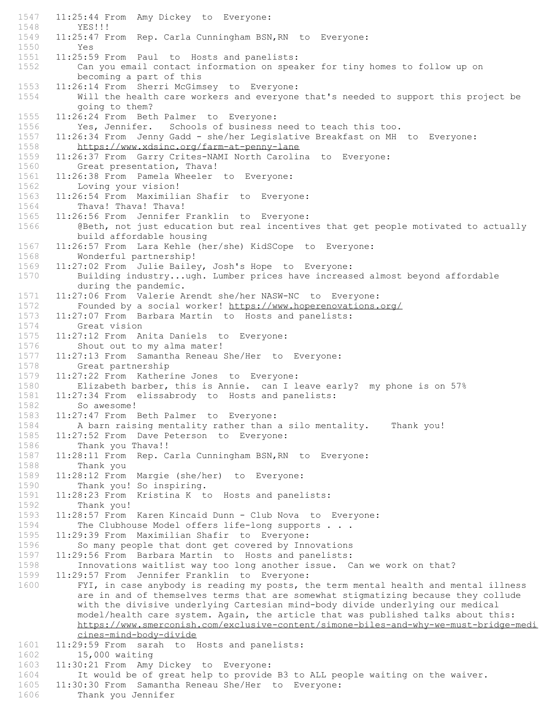1547 11:25:44 From Amy Dickey to Everyone: 1548 YES!!! 1549 11:25:47 From Rep. Carla Cunningham BSN,RN to Everyone: 1550 Yes 1551 11:25:59 From Paul to Hosts and panelists: 1552 Can you email contact information on speaker for tiny homes to follow up on becoming a part of this 1553 11:26:14 From Sherri McGimsey to Everyone: 1554 Will the health care workers and everyone that's needed to support this project be going to them? 1555 11:26:24 From Beth Palmer to Everyone: 1556 Yes, Jennifer. Schools of business need to teach this too. 1557 11:26:34 From Jenny Gadd - she/her Legislative Breakfast on MH to Everyone:<br>1558 https://www.xdsinc.org/farm-at-penny-lane https://www.xdsinc.org/farm-at-penny-lane 1559 11:26:37 From Garry Crites-NAMI North Carolina to Everyone: 1560 Great presentation, Thava! 1561 11:26:38 From Pamela Wheeler to Everyone:<br>1562 Loving your vision! Loving your vision! 1563 11:26:54 From Maximilian Shafir to Everyone: 1564 Thava! Thava! Thava! 1565 11:26:56 From Jennifer Franklin to Everyone: 1566 @Beth, not just education but real incentives that get people motivated to actually build affordable housing 1567 11:26:57 From Lara Kehle (her/she) KidSCope to Everyone: Wonderful partnership! 1569 11:27:02 From Julie Bailey, Josh's Hope to Everyone: 1570 Building industry...ugh. Lumber prices have increased almost beyond affordable during the pandemic. 1571 11:27:06 From Valerie Arendt she/her NASW-NC to Everyone: 1572 Founded by a social worker! https://www.hoperenovations.org/ 1573 11:27:07 From Barbara Martin to Hosts and panelists: 1574 Great vision 1575 11:27:12 From Anita Daniels to Everyone: 1576 Shout out to my alma mater! 1577 11:27:13 From Samantha Reneau She/Her to Everyone: Great partnership 1579 11:27:22 From Katherine Jones to Everyone: 1580 Elizabeth barber, this is Annie. can I leave early? my phone is on 57% 1581 11:27:34 From elissabrody to Hosts and panelists: So awesome! 1583 11:27:47 From Beth Palmer to Everyone: 1584 A barn raising mentality rather than a silo mentality. Thank you! 1585 11:27:52 From Dave Peterson to Everyone: 1586 Thank you Thava!! 1587 11:28:11 From Rep. Carla Cunningham BSN,RN to Everyone: 1588 Thank you 1589 11:28:12 From Margie (she/her) to Everyone: 1590 Thank you! So inspiring. 1591 11:28:23 From Kristina K to Hosts and panelists: Thank you! 1593 11:28:57 From Karen Kincaid Dunn - Club Nova to Everyone:<br>1594 The Clubhouse Model offers life-long supports ... The Clubhouse Model offers life-long supports . . . 1595 11:29:39 From Maximilian Shafir to Everyone: So many people that dont get covered by Innovations 1597 11:29:56 From Barbara Martin to Hosts and panelists: 1598 Innovations waitlist way too long another issue. Can we work on that?<br>1599 11:29:57 From Jennifer Franklin to Evervone: 11:29:57 From Jennifer Franklin to Everyone: 1600 FYI, in case anybody is reading my posts, the term mental health and mental illness are in and of themselves terms that are somewhat stigmatizing because they collude with the divisive underlying Cartesian mind-body divide underlying our medical model/health care system. Again, the article that was published talks about this: https://www.smerconish.com/exclusive-content/simone-biles-and-why-we-must-bridge-medi cines-mind-body-divide 1601 11:29:59 From sarah to Hosts and panelists: 1602 15,000 waiting 1603 11:30:21 From Amy Dickey to Everyone: 1604 It would be of great help to provide B3 to ALL people waiting on the waiver.<br>1605 11:30:30 From Samantha Reneau She/Her to Everyone: 11:30:30 From Samantha Reneau She/Her to Everyone: 1606 Thank you Jennifer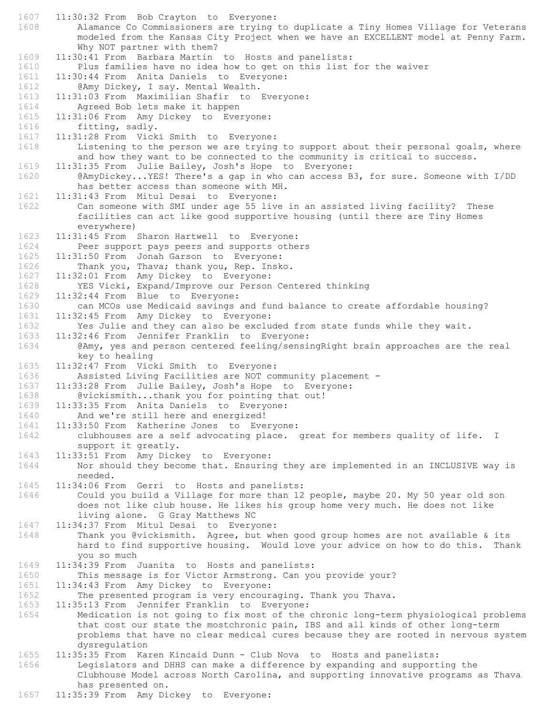1607 11:30:32 From Bob Crayton to Everyone: 1608 Alamance Co Commissioners are trying to duplicate a Tiny Homes Village for Veterans modeled from the Kansas City Project when we have an EXCELLENT model at Penny Farm. Why NOT partner with them? 1609 11:30:41 From Barbara Martin to Hosts and panelists: 1610 Plus families have no idea how to get on this list for the waiver<br>1611 11:30:44 From Anita Daniels to Evervone: 11:30:44 From Anita Daniels to Everyone: 1612 @Amy Dickey, I say. Mental Wealth. 1613 11:31:03 From Maximilian Shafir to Everyone: 1614 Agreed Bob lets make it happen 1615 11:31:06 From Amy Dickey to Everyone: 1616 fitting, sadly. 1617 11:31:28 From Vicki Smith to Everyone:<br>1618 Listening to the person we are trying Listening to the person we are trying to support about their personal goals, where and how they want to be connected to the community is critical to success. 1619 11:31:35 From Julie Bailey, Josh's Hope to Everyone: 1620 @AmyDickey...YES! There's a gap in who can access B3, for sure. Someone with I/DD has better access than someone with MH. 1621 11:31:43 From Mitul Desai to Everyone: 1622 Can someone with SMI under age 55 live in an assisted living facility? These facilities can act like good supportive housing (until there are Tiny Homes everywhere) 1623 11:31:45 From Sharon Hartwell to Everyone: 1624 Peer support pays peers and supports others<br>1625 11:31:50 From Jonah Garson to Evervone: 11:31:50 From Jonah Garson to Everyone: 1626 Thank you, Thava; thank you, Rep. Insko. 1627 11:32:01 From Amy Dickey to Everyone: 1628 YES Vicki, Expand/Improve our Person Centered thinking 1629 11:32:44 From Blue to Everyone: 1630 can MCOs use Medicaid savings and fund balance to create affordable housing? 1631 11:32:45 From Amy Dickey to Everyone: 1632 Yes Julie and they can also be excluded from state funds while they wait. 1633 11:32:46 From Jennifer Franklin to Everyone: 1634 @Amy, yes and person centered feeling/sensingRight brain approaches are the real key to healing 1635 11:32:47 From Vicki Smith to Everyone: 1636 Assisted Living Facilities are NOT community placement - 1637 11:33:28 From Julie Bailey, Josh's Hope to Everyone: 1638 @vickismith...thank you for pointing that out! 1639 11:33:35 From Anita Daniels to Everyone: 1640 And we're still here and energized! 1641 11:33:50 From Katherine Jones to Everyone: 1642 clubhouses are a self advocating place. great for members quality of life. I support it greatly. 1643 11:33:51 From Amy Dickey to Everyone: 1644 Nor should they become that. Ensuring they are implemented in an INCLUSIVE way is needed. 1645 11:34:06 From Gerri to Hosts and panelists: 1646 Could you build a Village for more than 12 people, maybe 20. My 50 year old son does not like club house. He likes his group home very much. He does not like living alone. G Gray Matthews NC 1647 11:34:37 From Mitul Desai to Everyone: 1648 Thank you @vickismith. Agree, but when good group homes are not available & its hard to find supportive housing. Would love your advice on how to do this. Thank you so much 1649 11:34:39 From Juanita to Hosts and panelists: This message is for Victor Armstrong. Can you provide your? 1651 11:34:43 From Amy Dickey to Everyone: 1652 The presented program is very encouraging. Thank you Thava. 1653 11:35:13 From Jennifer Franklin to Everyone: Medication is not going to fix most of the chronic long-term physiological problems that cost our state the mostchronic pain, IBS and all kinds of other long-term problems that have no clear medical cures because they are rooted in nervous system dysregulation 1655 11:35:35 From Karen Kincaid Dunn - Club Nova to Hosts and panelists: 1656 Legislators and DHHS can make a difference by expanding and supporting the Clubhouse Model across North Carolina, and supporting innovative programs as Thava has presented on.

1657 11:35:39 From Amy Dickey to Everyone: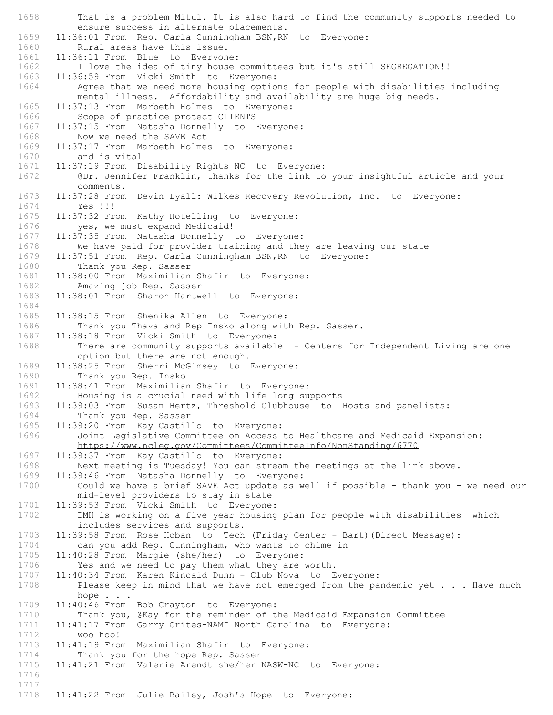1658 That is a problem Mitul. It is also hard to find the community supports needed to ensure success in alternate placements. 1659 11:36:01 From Rep. Carla Cunningham BSN, RN to Everyone:<br>1660 Rural areas have this issue. Rural areas have this issue. 1661 11:36:11 From Blue to Everyone: 1662 I love the idea of tiny house committees but it's still SEGREGATION!!<br>1663 11:36:59 From Vicki Smith to Evervone: 11:36:59 From Vicki Smith to Everyone: 1664 Agree that we need more housing options for people with disabilities including mental illness. Affordability and availability are huge big needs. 1665 11:37:13 From Marbeth Holmes to Everyone: 1666 Scope of practice protect CLIENTS 1667 11:37:15 From Natasha Donnelly to Everyone: 1668 Now we need the SAVE Act<br>1669 11:37:17 From Marbeth Holme: 11:37:17 From Marbeth Holmes to Everyone: 1670 and is vital 1671 11:37:19 From Disability Rights NC to Everyone: 1672 @Dr. Jennifer Franklin, thanks for the link to your insightful article and your comments. 1673 11:37:28 From Devin Lyall: Wilkes Recovery Revolution, Inc. to Everyone: 1674 Yes !!! 1675 11:37:32 From Kathy Hotelling to Everyone: 1676 yes, we must expand Medicaid! 1677 11:37:35 From Natasha Donnelly to Everyone: 1678 We have paid for provider training and they are leaving our state<br>1679 11:37:51 From Rep. Carla Cunningham BSN, RN to Everyone: 11:37:51 From Rep. Carla Cunningham BSN, RN to Everyone: 1680 Thank you Rep. Sasser 1681 11:38:00 From Maximilian Shafir to Everyone: 1682 Amazing job Rep. Sasser 11:38:01 From Sharon Hartwell to Everyone: 1684 1685 11:38:15 From Shenika Allen to Everyone: 1686 Thank you Thava and Rep Insko along with Rep. Sasser. 1687 11:38:18 From Vicki Smith to Everyone: 1688 There are community supports available - Centers for Independent Living are one option but there are not enough. 1689 11:38:25 From Sherri McGimsey to Everyone: 1690 Thank you Rep. Insko 1691 11:38:41 From Maximilian Shafir to Everyone: 1692 Housing is a crucial need with life long supports 1693 11:39:03 From Susan Hertz, Threshold Clubhouse to Hosts and panelists: 1694 Thank you Rep. Sasser 1695 11:39:20 From Kay Castillo to Everyone: 1696 Joint Legislative Committee on Access to Healthcare and Medicaid Expansion: https://www.ncleg.gov/Committees/CommitteeInfo/NonStanding/6770 1697 11:39:37 From Kay Castillo to Everyone: 1698 Next meeting is Tuesday! You can stream the meetings at the link above.<br>1699 11:39:46 From Natasha Donnelly to Everyone: 11:39:46 From Natasha Donnelly to Everyone: 1700 Could we have a brief SAVE Act update as well if possible - thank you - we need our mid-level providers to stay in state 1701 11:39:53 From Vicki Smith to Everyone: 1702 DMH is working on a five year housing plan for people with disabilities which includes services and supports. 1703 11:39:58 From Rose Hoban to Tech (Friday Center - Bart) (Direct Message):<br>1704 can you add Rep. Cunningham, who wants to chime in can you add Rep. Cunningham, who wants to chime in 1705 11:40:28 From Margie (she/her) to Everyone:<br>1706 Yes and we need to pay them what they are 1706 Yes and we need to pay them what they are worth.<br>1707 11:40:34 From Karen Kincaid Dunn - Club Nova to E 11:40:34 From Karen Kincaid Dunn - Club Nova to Everyone: 1708 Please keep in mind that we have not emerged from the pandemic yet . . . Have much hope . . . 1709 11:40:46 From Bob Crayton to Everyone:<br>1710 Thank you, @Kay for the reminder of t 1710 Thank you, @Kay for the reminder of the Medicaid Expansion Committee<br>1711 11:41:17 From Garry Crites-NAMI North Carolina to Everyone: 1711 11:41:17 From Garry Crites-NAMI North Carolina to Everyone:<br>1712 woo hoo! 1712 woo hoo!<br>1713 11:41:19 From 11:41:19 From Maximilian Shafir to Everyone: 1714 Thank you for the hope Rep. Sasser 1715 11:41:21 From Valerie Arendt she/her NASW-NC to Everyone: 1716 1717 11:41:22 From Julie Bailey, Josh's Hope to Everyone: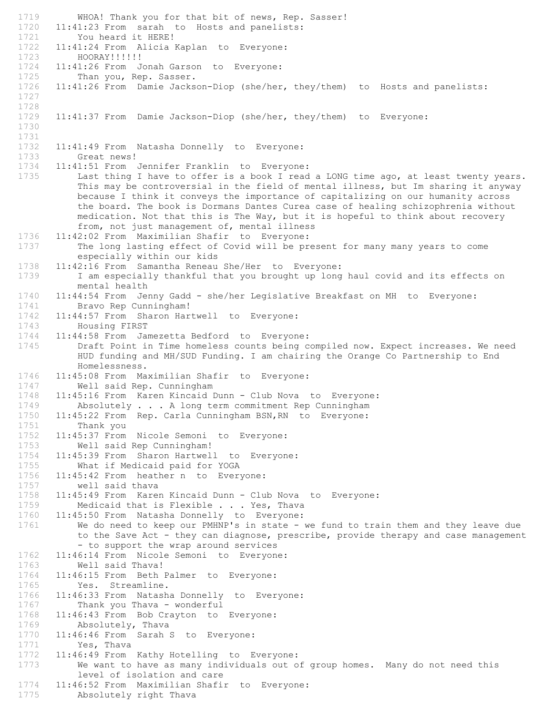1719 WHOA! Thank you for that bit of news, Rep. Sasser! 1720 11:41:23 From sarah to Hosts and panelists:<br>1721 You heard it HERE! 1721 You heard it HERE!<br>1722 11:41:24 From Alicia I 11:41:24 From Alicia Kaplan to Everyone: 1723 HOORAY!!!!!! 1724 11:41:26 From Jonah Garson to Everyone:<br>1725 Than you, Rep. Sasser. Than you, Rep. Sasser. 1726 11:41:26 From Damie Jackson-Diop (she/her, they/them) to Hosts and panelists: 1727 1728 1729 11:41:37 From Damie Jackson-Diop (she/her, they/them) to Everyone: 1730 1731 11:41:49 From Natasha Donnelly to Everyone: 1733 Great news!<br>1734 11:41:51 From 11:41:51 From Jennifer Franklin to Everyone: 1735 Last thing I have to offer is a book I read a LONG time ago, at least twenty years. This may be controversial in the field of mental illness, but Im sharing it anyway because I think it conveys the importance of capitalizing on our humanity across the board. The book is Dormans Dantes Curea case of healing schizophrenia without medication. Not that this is The Way, but it is hopeful to think about recovery from, not just management of, mental illness 1736 11:42:02 From Maximilian Shafir to Everyone: 1737 The long lasting effect of Covid will be present for many many years to come especially within our kids 1738 11:42:16 From Samantha Reneau She/Her to Everyone: 1739 I am especially thankful that you brought up long haul covid and its effects on mental health 1740 11:44:54 From Jenny Gadd - she/her Legislative Breakfast on MH to Everyone:<br>1741 Bravo Rep Cunningham! Bravo Rep Cunningham! 1742 11:44:57 From Sharon Hartwell to Everyone: 1743 Housing FIRST 1744 11:44:58 From Jamezetta Bedford to Everyone: 1745 Draft Point in Time homeless counts being compiled now. Expect increases. We need HUD funding and MH/SUD Funding. I am chairing the Orange Co Partnership to End Homelessness. 1746 11:45:08 From Maximilian Shafir to Everyone: 1747 Well said Rep. Cunningham 1748 11:45:16 From Karen Kincaid Dunn - Club Nova to Everyone: 1749 Absolutely . . . A long term commitment Rep Cunningham 1750 11:45:22 From Rep. Carla Cunningham BSN,RN to Everyone: 1751 Thank you 1752 11:45:37 From Nicole Semoni to Everyone: 1753 Well said Rep Cunningham! 1754 11:45:39 From Sharon Hartwell to Everyone: 1755 What if Medicaid paid for YOGA<br>1756 11:45:42 From heather n to Every 11:45:42 From heather n to Everyone: 1757 well said thava 1758 11:45:49 From Karen Kincaid Dunn - Club Nova to Everyone:<br>1759 Medicaid that is Flexible . . . Yes, Thava Medicaid that is Flexible . . . Yes, Thava 1760 11:45:50 From Natasha Donnelly to Everyone: 1761 We do need to keep our PMHNP's in state - we fund to train them and they leave due to the Save Act - they can diagnose, prescribe, provide therapy and case management - to support the wrap around services 1762 11:46:14 From Nicole Semoni to Everyone: 1763 Well said Thava!<br>1764 11:46:15 From Beth : 11:46:15 From Beth Palmer to Everyone: 1765 Yes. Streamline.<br>1766 11:46:33 From Natash 11:46:33 From Natasha Donnelly to Everyone: 1767 Thank you Thava - wonderful<br>1768 11:46:43 From Bob Crayton to 1768 11:46:43 From Bob Crayton to Everyone: 1769 Absolutely, Thava<br>1770 11:46:46 From Sarah 9 1770 11:46:46 From Sarah S to Everyone:<br>1771 Yes, Thava 1771 Yes, Thava<br>1772 11:46:49 From 11:46:49 From Kathy Hotelling to Everyone: 1773 We want to have as many individuals out of group homes. Many do not need this level of isolation and care 1774 11:46:52 From Maximilian Shafir to Everyone: 1775 Absolutely right Thava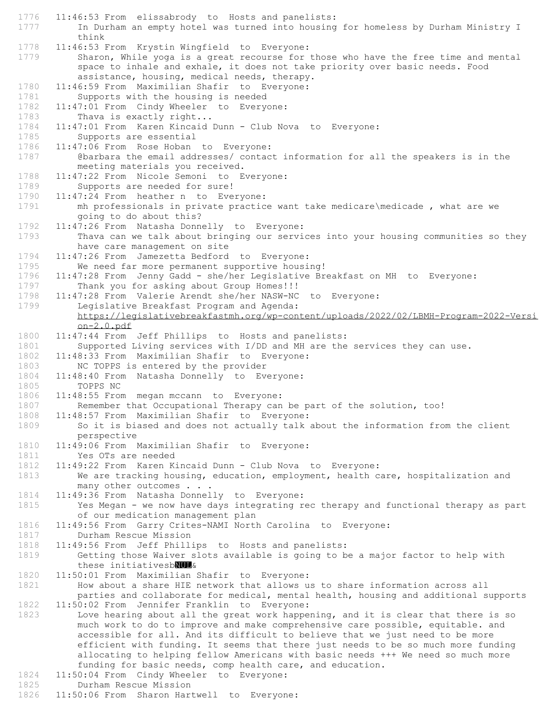1776 11:46:53 From elissabrody to Hosts and panelists: 1777 In Durham an empty hotel was turned into housing for homeless by Durham Ministry I think 1778 11:46:53 From Krystin Wingfield to Everyone: 1779 Sharon, While yoga is a great recourse for those who have the free time and mental space to inhale and exhale, it does not take priority over basic needs. Food assistance, housing, medical needs, therapy. 1780 11:46:59 From Maximilian Shafir to Everyone: 1781 Supports with the housing is needed 1782 11:47:01 From Cindy Wheeler to Everyone: 1783 Thava is exactly right... 1784 11:47:01 From Karen Kincaid Dunn - Club Nova to Everyone: 1785 Supports are essential<br>1786 11:47:06 From Rose Hoban 11:47:06 From Rose Hoban to Everyone: 1787 @barbara the email addresses/ contact information for all the speakers is in the meeting materials you received. 1788 11:47:22 From Nicole Semoni to Everyone: 1789 Supports are needed for sure! 1790 11:47:24 From heather n to Everyone: 1791 mh professionals in private practice want take medicare\medicade , what are we going to do about this? 1792 11:47:26 From Natasha Donnelly to Everyone: 1793 Thava can we talk about bringing our services into your housing communities so they have care management on site 1794 11:47:26 From Jamezetta Bedford to Everyone: 1795 We need far more permanent supportive housing! 1796 11:47:28 From Jenny Gadd - she/her Legislative Breakfast on MH to Everyone: 1797 Thank you for asking about Group Homes!!! 1798 11:47:28 From Valerie Arendt she/her NASW-NC to Everyone: 1799 Legislative Breakfast Program and Agenda: https://legislativebreakfastmh.org/wp-content/uploads/2022/02/LBMH-Program-2022-Versi on-2.0.pdf 1800 11:47:44 From Jeff Phillips to Hosts and panelists: 1801 Supported Living services with I/DD and MH are the services they can use. 1802 11:48:33 From Maximilian Shafir to Everyone: 1803 NC TOPPS is entered by the provider<br>1804 11:48:40 From Natasha Donnelly to Ev 11:48:40 From Natasha Donnelly to Everyone: 1805 TOPPS NC 1806 11:48:55 From megan mccann to Everyone: 1807 Remember that Occupational Therapy can be part of the solution, too! 1808 11:48:57 From Maximilian Shafir to Everyone: 1809 So it is biased and does not actually talk about the information from the client perspective 1810 11:49:06 From Maximilian Shafir to Everyone: 1811 Yes OTs are needed 1812 11:49:22 From Karen Kincaid Dunn - Club Nova to Everyone:<br>1813 We are tracking housing, education, employment, health c We are tracking housing, education, employment, health care, hospitalization and many other outcomes . . . 1814 11:49:36 From Natasha Donnelly to Everyone:<br>1815 Yes Megan - we now have days integrating re Yes Megan - we now have days integrating rec therapy and functional therapy as part of our medication management plan 1816 11:49:56 From Garry Crites-NAMI North Carolina to Everyone: 1817 Durham Rescue Mission 1818 11:49:56 From Jeff Phillips to Hosts and panelists: 1819 Getting those Waiver slots available is going to be a major factor to help with these initiativesbNUL& 1820 11:50:01 From Maximilian Shafir to Everyone: 1821 How about a share HIE network that allows us to share information across all parties and collaborate for medical, mental health, housing and additional supports 1822 11:50:02 From Jennifer Franklin to Everyone:<br>1823 Love hearing about all the great work happe Love hearing about all the great work happening, and it is clear that there is so much work to do to improve and make comprehensive care possible, equitable. and accessible for all. And its difficult to believe that we just need to be more efficient with funding. It seems that there just needs to be so much more funding allocating to helping fellow Americans with basic needs +++ We need so much more funding for basic needs, comp health care, and education. 1824 11:50:04 From Cindy Wheeler to Everyone:<br>1825 Durham Rescue Mission Durham Rescue Mission 1826 11:50:06 From Sharon Hartwell to Everyone: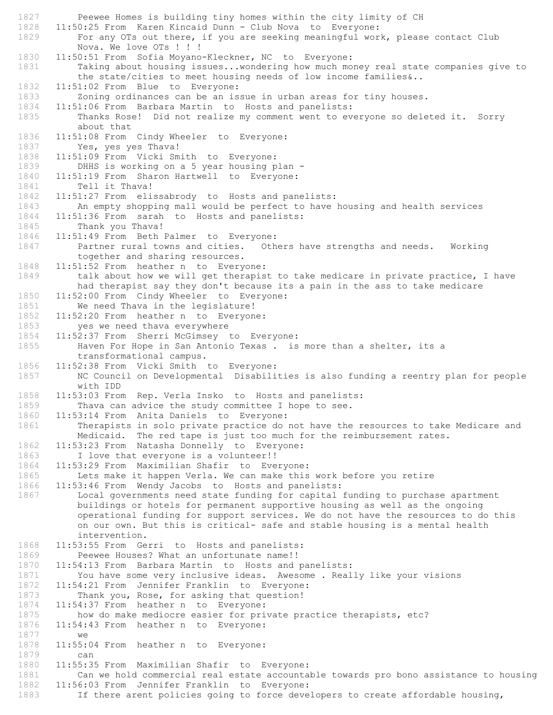1827 Peewee Homes is building tiny homes within the city limity of CH 1828 11:50:25 From Karen Kincaid Dunn - Club Nova to Everyone: 1829 For any OTs out there, if you are seeking meaningful work, please contact Club Nova. We love OTs ! ! ! 1830 11:50:51 From Sofia Moyano-Kleckner, NC to Everyone: 1831 Taking about housing issues...wondering how much money real state companies give to the state/cities to meet housing needs of low income families&.. 1832 11:51:02 From Blue to Everyone: 1833 Zoning ordinances can be an issue in urban areas for tiny houses. 1834 11:51:06 From Barbara Martin to Hosts and panelists: 1835 Thanks Rose! Did not realize my comment went to everyone so deleted it. Sorry about that 1836 11:51:08 From Cindy Wheeler to Everyone: 1837 Yes, yes yes Thava! 1838 11:51:09 From Vicki Smith to Everyone: 1839 DHHS is working on a 5 year housing plan - 1840 11:51:19 From Sharon Hartwell to Everyone:<br>1841 Tell it Thava! Tell it Thava! 1842 11:51:27 From elissabrody to Hosts and panelists:<br>1843 An empty shopping mall would be perfect to have An empty shopping mall would be perfect to have housing and health services 1844 11:51:36 From sarah to Hosts and panelists: 1845 Thank you Thava! 1846 11:51:49 From Beth Palmer to Everyone: 1847 Partner rural towns and cities. Others have strengths and needs. Working together and sharing resources. 1848 11:51:52 From heather n to Everyone: 1849 talk about how we will get therapist to take medicare in private practice, I have had therapist say they don't because its a pain in the ass to take medicare 1850 11:52:00 From Cindy Wheeler to Everyone: 1851 We need Thava in the legislature! 1852 11:52:20 From heather n to Everyone: 1853 yes we need thava everywhere 1854 11:52:37 From Sherri McGimsey to Everyone: 1855 Haven For Hope in San Antonio Texas . is more than a shelter, its a transformational campus. 1856 11:52:38 From Vicki Smith to Everyone: 1857 NC Council on Developmental Disabilities is also funding a reentry plan for people with IDD 1858 11:53:03 From Rep. Verla Insko to Hosts and panelists: 1859 Thava can advice the study committee I hope to see. 1860 11:53:14 From Anita Daniels to Everyone: 1861 Therapists in solo private practice do not have the resources to take Medicare and Medicaid. The red tape is just too much for the reimbursement rates. 1862 11:53:23 From Natasha Donnelly to Everyone: 1863 I love that everyone is a volunteer!! 1864 11:53:29 From Maximilian Shafir to Everyone:<br>1865 Lets make it happen Verla. We can make this Lets make it happen Verla. We can make this work before you retire 1866 11:53:46 From Wendy Jacobs to Hosts and panelists: 1867 Local governments need state funding for capital funding to purchase apartment buildings or hotels for permanent supportive housing as well as the ongoing operational funding for support services. We do not have the resources to do this on our own. But this is critical- safe and stable housing is a mental health intervention. 1868 11:53:55 From Gerri to Hosts and panelists: 1869 Peewee Houses? What an unfortunate name!! 1870 11:54:13 From Barbara Martin to Hosts and panelists:<br>1871 You have some very inclusive ideas. Awesome, Real You have some very inclusive ideas. Awesome . Really like your visions 1872 11:54:21 From Jennifer Franklin to Everyone: 1873 Thank you, Rose, for asking that question! 1874 11:54:37 From heather n to Everyone:<br>1875 how do make mediocre easier for pri how do make mediocre easier for private practice therapists, etc? 1876 11:54:43 From heather n to Everyone: 1877 we<br>1878 11:55: 11:55:04 From heather n to Everyone: 1879 can 1880 11:55:35 From Maximilian Shafir to Everyone: 1881 Can we hold commercial real estate accountable towards pro bono assistance to housing<br>1882 11:56:03 From Jennifer Franklin to Evervone: 11:56:03 From Jennifer Franklin to Everyone: 1883 If there arent policies going to force developers to create affordable housing,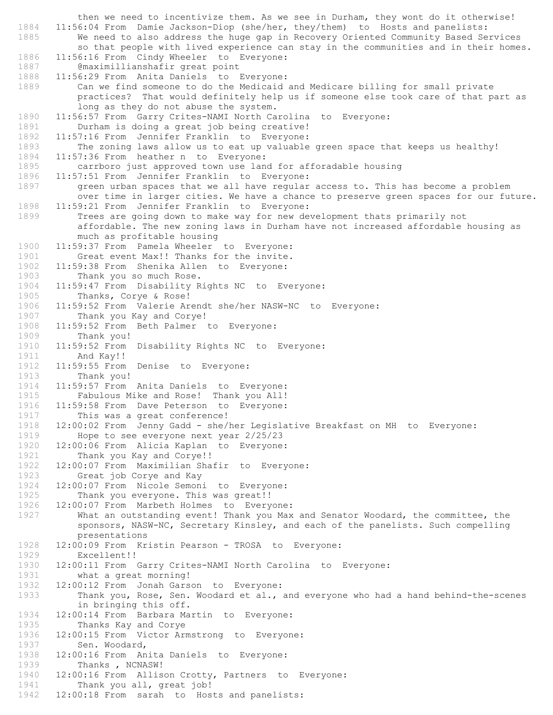then we need to incentivize them. As we see in Durham, they wont do it otherwise! 1884 11:56:04 From Damie Jackson-Diop (she/her, they/them) to Hosts and panelists: 1885 We need to also address the huge gap in Recovery Oriented Community Based Services so that people with lived experience can stay in the communities and in their homes. 1886 11:56:16 From Cindy Wheeler to Everyone: 1887 **@maximillianshafir great point**<br>1888 11:56:29 From Anita Daniels to B 11:56:29 From Anita Daniels to Everyone: 1889 Can we find someone to do the Medicaid and Medicare billing for small private practices? That would definitely help us if someone else took care of that part as long as they do not abuse the system. 1890 11:56:57 From Garry Crites-NAMI North Carolina to Everyone: 1891 Durham is doing a great job being creative! 1892 11:57:16 From Jennifer Franklin to Everyone:<br>1893 The zoning laws allow us to eat up valuable The zoning laws allow us to eat up valuable green space that keeps us healthy! 1894 11:57:36 From heather n to Everyone: 1895 carrboro just approved town use land for afforadable housing 1896 11:57:51 From Jennifer Franklin to Everyone: 1897 green urban spaces that we all have regular access to. This has become a problem over time in larger cities. We have a chance to preserve green spaces for our future. 1898 11:59:21 From Jennifer Franklin to Everyone: 1899 Trees are going down to make way for new development thats primarily not affordable. The new zoning laws in Durham have not increased affordable housing as much as profitable housing 1900 11:59:37 From Pamela Wheeler to Everyone:<br>1901 Great event Max!! Thanks for the invite. Great event Max!! Thanks for the invite. 1902 11:59:38 From Shenika Allen to Everyone: 1903 Thank you so much Rose. 1904 11:59:47 From Disability Rights NC to Everyone:<br>1905 Thanks, Corve & Rose! Thanks, Corye & Rose! 1906 11:59:52 From Valerie Arendt she/her NASW-NC to Everyone: 1907 Thank you Kay and Corye! 1908 11:59:52 From Beth Palmer to Everyone: 1909 Thank you! 1910 11:59:52 From Disability Rights NC to Everyone: 1911 **And Kay!!**<br>1912 **11:59:55 From** 11:59:55 From Denise to Everyone: 1913 Thank you! 1914 11:59:57 From Anita Daniels to Everyone: 1915 Fabulous Mike and Rose! Thank you All! 1916 11:59:58 From Dave Peterson to Everyone: 1917 This was a great conference! 1918 12:00:02 From Jenny Gadd - she/her Legislative Breakfast on MH to Everyone:<br>1919 Hope to see everyone next year 2/25/23 Hope to see everyone next year  $2/25/23$ 1920 12:00:06 From Alicia Kaplan to Everyone: 1921 Thank you Kay and Corye!! 1922 12:00:07 From Maximilian Shafir to Everyone:<br>1923 Great job Corye and Kay Great job Corye and Kay 1924 12:00:07 From Nicole Semoni to Everyone: 1925 Thank you everyone. This was great!!<br>1926 12:00:07 From Marbeth Holmes to Every 12:00:07 From Marbeth Holmes to Everyone: 1927 What an outstanding event! Thank you Max and Senator Woodard, the committee, the sponsors, NASW-NC, Secretary Kinsley, and each of the panelists. Such compelling presentations 1928 12:00:09 From Kristin Pearson - TROSA to Everyone: 1929 Excellent!! 1930 12:00:11 From Garry Crites-NAMI North Carolina to Everyone:<br>1931 what a great morning! what a great morning! 1932 12:00:12 From Jonah Garson to Everyone: 1933 Thank you, Rose, Sen. Woodard et al., and everyone who had a hand behind-the-scenes in bringing this off. 1934 12:00:14 From Barbara Martin to Everyone: 1935 Thanks Kay and Corye<br>1936 12:00:15 From Victor Arm 1936 12:00:15 From Victor Armstrong to Everyone:<br>1937 Sen. Woodard, Sen. Woodard, 1938 12:00:16 From Anita Daniels to Everyone: 1939 Thanks, NCNASW! 1940 12:00:16 From Allison Crotty, Partners to Everyone:<br>1941 Thank you all, great job! Thank you all, great job! 1942 12:00:18 From sarah to Hosts and panelists: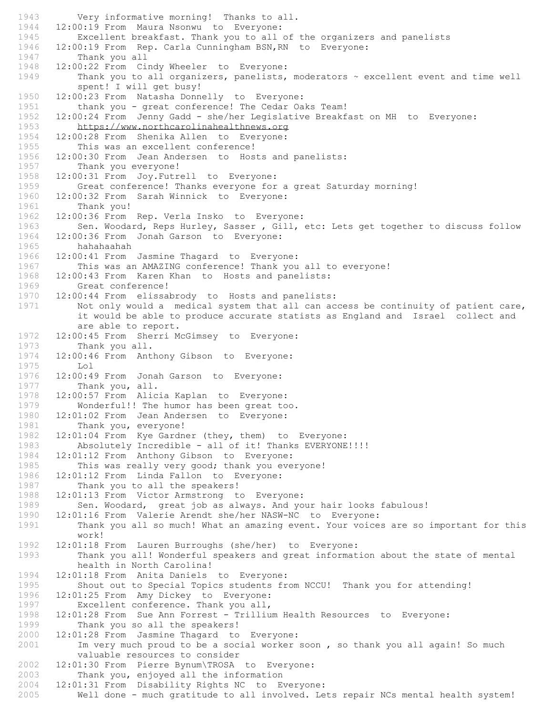1943 Very informative morning! Thanks to all. 1944 12:00:19 From Maura Nsonwu to Everyone:<br>1945 Excellent breakfast. Thank you to all Excellent breakfast. Thank you to all of the organizers and panelists<br>1946 12:00:19 From Rep. Carla Cunningham BSN, RN to Everyone: 12:00:19 From Rep. Carla Cunningham BSN, RN to Everyone: 1947 Thank you all 1948 12:00:22 From Cindy Wheeler to Everyone:<br>1949 Thank you to all organizers, panelists, Thank you to all organizers, panelists, moderators  $\sim$  excellent event and time well spent! I will get busy! 1950 12:00:23 From Natasha Donnelly to Everyone: 1951 thank you - great conference! The Cedar Oaks Team! 1952 12:00:24 From Jenny Gadd - she/her Legislative Breakfast on MH to Everyone: 1953 https://www.northcarolinahealthnews.org 1954 12:00:28 From Shenika Allen to Everyone:<br>1955 This was an excellent conference! This was an excellent conference! 1956 12:00:30 From Jean Andersen to Hosts and panelists: 1957 Thank you everyone! 1958 12:00:31 From Joy.Futrell to Everyone: 1959 Great conference! Thanks everyone for a great Saturday morning! 1960 12:00:32 From Sarah Winnick to Everyone: 1961 Thank you! 1962 12:00:36 From Rep. Verla Insko to Everyone: 1963 Sen. Woodard, Reps Hurley, Sasser , Gill, etc: Lets get together to discuss follow 1964 12:00:36 From Jonah Garson to Everyone: 1965 hahahaahah 1966 12:00:41 From Jasmine Thagard to Everyone: 1967 This was an AMAZING conference! Thank you all to everyone! 1968 12:00:43 From Karen Khan to Hosts and panelists: 1969 Great conference! 1970 12:00:44 From elissabrody to Hosts and panelists: 1971 Not only would a medical system that all can access be continuity of patient care, it would be able to produce accurate statists as England and Israel collect and are able to report. 1972 12:00:45 From Sherri McGimsey to Everyone: 1973 Thank you all. 1974 12:00:46 From Anthony Gibson to Everyone: 1975 Lol 1976 12:00:49 From Jonah Garson to Everyone: 1977 Thank you, all. 1978 12:00:57 From Alicia Kaplan to Everyone: 1979 Wonderful!! The humor has been great too. 1980 12:01:02 From Jean Andersen to Everyone: 1981 Thank you, everyone! 1982 12:01:04 From Kye Gardner (they, them) to Everyone: 1983 Absolutely Incredible - all of it! Thanks EVERYONE!!!! 1984 12:01:12 From Anthony Gibson to Everyone: 1985 This was really very good; thank you everyone!<br>1986 12:01:12 From Linda Fallon to Everyone: 1986 12:01:12 From Linda Fallon to Everyone:<br>1987 Thank you to all the speakers! Thank you to all the speakers! 1988 12:01:13 From Victor Armstrong to Everyone:<br>1989 Sen. Woodard, great iob as always. And vo Sen. Woodard, great job as always. And your hair looks fabulous! 1990 12:01:16 From Valerie Arendt she/her NASW-NC to Everyone: 1991 Thank you all so much! What an amazing event. Your voices are so important for this work! 1992 12:01:18 From Lauren Burroughs (she/her) to Everyone: 1993 Thank you all! Wonderful speakers and great information about the state of mental health in North Carolina! 1994 12:01:18 From Anita Daniels to Everyone: 1995 Shout out to Special Topics students from NCCU! Thank you for attending! 1996 12:01:25 From Amy Dickey to Everyone: 1997 Excellent conference. Thank you all, 1998 12:01:28 From Sue Ann Forrest - Trillium Health Resources to Everyone: 1999 Thank you so all the speakers! 2000 12:01:28 From Jasmine Thagard to Everyone:<br>2001 Im very much proud to be a social worker Im very much proud to be a social worker soon , so thank you all again! So much valuable resources to consider 2002 12:01:30 From Pierre Bynum\TROSA to Everyone: 2003 Thank you, enjoyed all the information<br>2004 12:01:31 From Disability Rights NC to E 12:01:31 From Disability Rights NC to Everyone: 2005 Well done - much gratitude to all involved. Lets repair NCs mental health system!